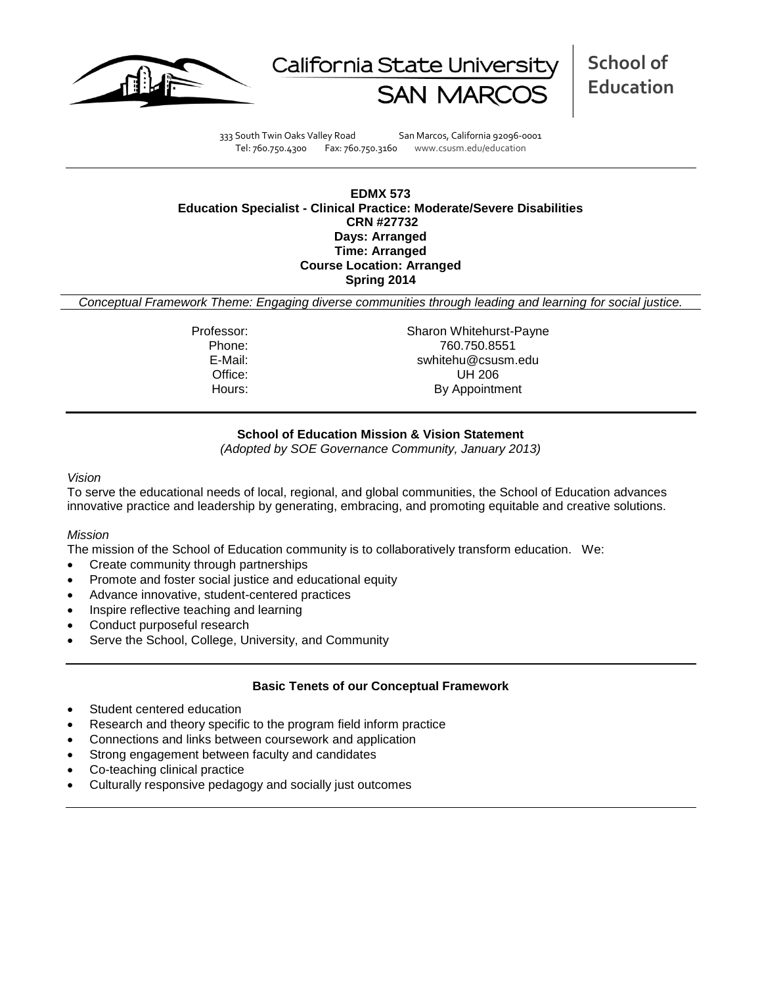



**School of Education**

333 South Twin Oaks Valley Road San Marcos, California 92096-0001 Tel: 760.750.4300 Fax: 760.750.3160 www.csusm.edu/education

#### **EDMX 573 Education Specialist - Clinical Practice: Moderate/Severe Disabilities CRN #27732 Days: Arranged Time: Arranged Course Location: Arranged Spring 2014**

*Conceptual Framework Theme: Engaging diverse communities through leading and learning for social justice.*

Professor: Sharon Whitehurst-Payne Phone: 760.750.8551 E-Mail: swhitehu@csusm.edu Office: UH 206 Hours: By Appointment

## **School of Education Mission & Vision Statement**

*(Adopted by SOE Governance Community, January 2013)*

#### *Vision*

To serve the educational needs of local, regional, and global communities, the School of Education advances innovative practice and leadership by generating, embracing, and promoting equitable and creative solutions.

#### *Mission*

The mission of the School of Education community is to collaboratively transform education. We:

- Create community through partnerships
- Promote and foster social justice and educational equity
- Advance innovative, student-centered practices
- Inspire reflective teaching and learning
- Conduct purposeful research
- Serve the School, College, University, and Community

#### **Basic Tenets of our Conceptual Framework**

- Student centered education
- Research and theory specific to the program field inform practice
- Connections and links between coursework and application
- Strong engagement between faculty and candidates
- Co-teaching clinical practice
- Culturally responsive pedagogy and socially just outcomes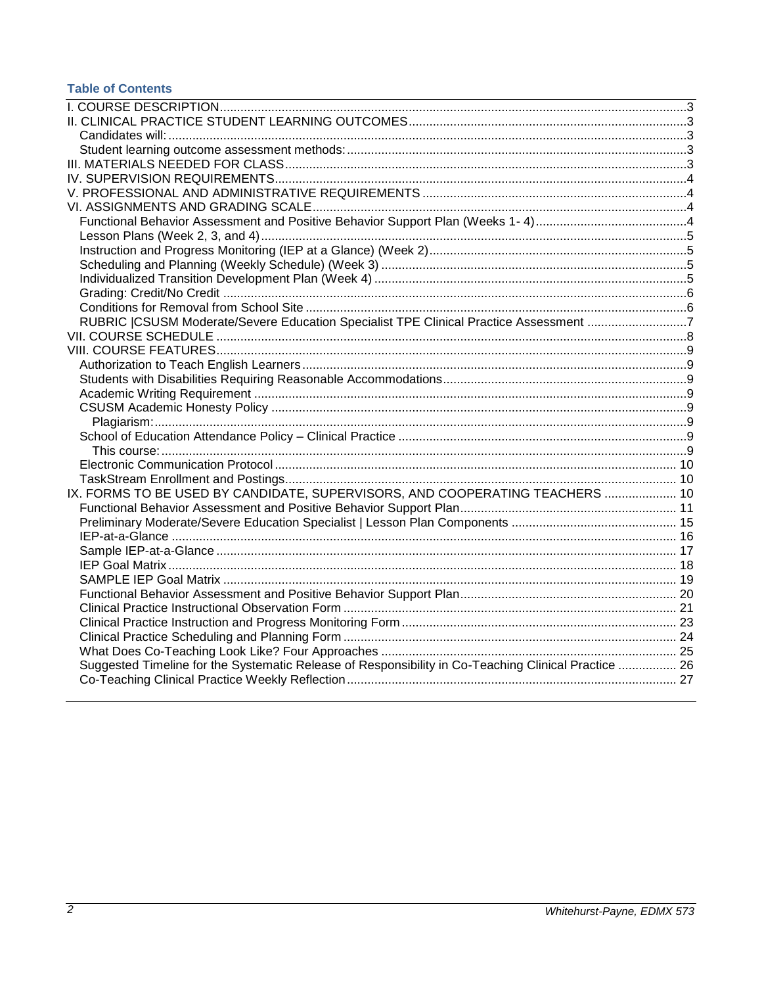# **Table of Contents**

<span id="page-1-0"></span>

| RUBRIC  CSUSM Moderate/Severe Education Specialist TPE Clinical Practice Assessment 7                |  |
|------------------------------------------------------------------------------------------------------|--|
|                                                                                                      |  |
|                                                                                                      |  |
|                                                                                                      |  |
|                                                                                                      |  |
|                                                                                                      |  |
|                                                                                                      |  |
|                                                                                                      |  |
|                                                                                                      |  |
|                                                                                                      |  |
|                                                                                                      |  |
|                                                                                                      |  |
| IX. FORMS TO BE USED BY CANDIDATE, SUPERVISORS, AND COOPERATING TEACHERS  10                         |  |
|                                                                                                      |  |
|                                                                                                      |  |
|                                                                                                      |  |
|                                                                                                      |  |
|                                                                                                      |  |
|                                                                                                      |  |
|                                                                                                      |  |
|                                                                                                      |  |
|                                                                                                      |  |
|                                                                                                      |  |
|                                                                                                      |  |
| Suggested Timeline for the Systematic Release of Responsibility in Co-Teaching Clinical Practice  26 |  |
|                                                                                                      |  |
|                                                                                                      |  |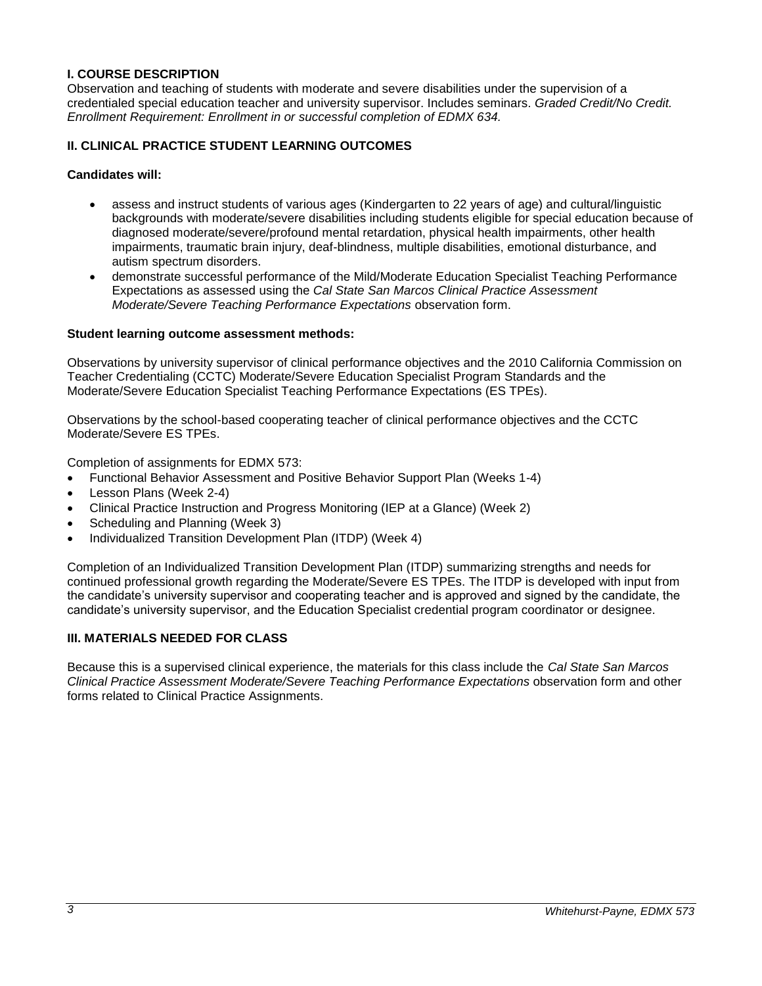## **I. COURSE DESCRIPTION**

Observation and teaching of students with moderate and severe disabilities under the supervision of a credentialed special education teacher and university supervisor. Includes seminars. *Graded Credit/No Credit. Enrollment Requirement: Enrollment in or successful completion of EDMX 634.*

## <span id="page-2-0"></span>**II. CLINICAL PRACTICE STUDENT LEARNING OUTCOMES**

#### <span id="page-2-1"></span>**Candidates will:**

- assess and instruct students of various ages (Kindergarten to 22 years of age) and cultural/linguistic backgrounds with moderate/severe disabilities including students eligible for special education because of diagnosed moderate/severe/profound mental retardation, physical health impairments, other health impairments, traumatic brain injury, deaf-blindness, multiple disabilities, emotional disturbance, and autism spectrum disorders.
- demonstrate successful performance of the Mild/Moderate Education Specialist Teaching Performance Expectations as assessed using the *Cal State San Marcos Clinical Practice Assessment Moderate/Severe Teaching Performance Expectations* observation form.

#### <span id="page-2-2"></span>**Student learning outcome assessment methods:**

Observations by university supervisor of clinical performance objectives and the 2010 California Commission on Teacher Credentialing (CCTC) Moderate/Severe Education Specialist Program Standards and the Moderate/Severe Education Specialist Teaching Performance Expectations (ES TPEs).

Observations by the school-based cooperating teacher of clinical performance objectives and the CCTC Moderate/Severe ES TPEs.

Completion of assignments for EDMX 573:

- Functional Behavior Assessment and Positive Behavior Support Plan (Weeks 1-4)
- Lesson Plans (Week 2-4)
- Clinical Practice Instruction and Progress Monitoring (IEP at a Glance) (Week 2)
- Scheduling and Planning (Week 3)
- Individualized Transition Development Plan (ITDP) (Week 4)

Completion of an Individualized Transition Development Plan (ITDP) summarizing strengths and needs for continued professional growth regarding the Moderate/Severe ES TPEs. The ITDP is developed with input from the candidate's university supervisor and cooperating teacher and is approved and signed by the candidate, the candidate's university supervisor, and the Education Specialist credential program coordinator or designee.

#### <span id="page-2-3"></span>**III. MATERIALS NEEDED FOR CLASS**

<span id="page-2-4"></span>Because this is a supervised clinical experience, the materials for this class include the *Cal State San Marcos Clinical Practice Assessment Moderate/Severe Teaching Performance Expectations* observation form and other forms related to Clinical Practice Assignments.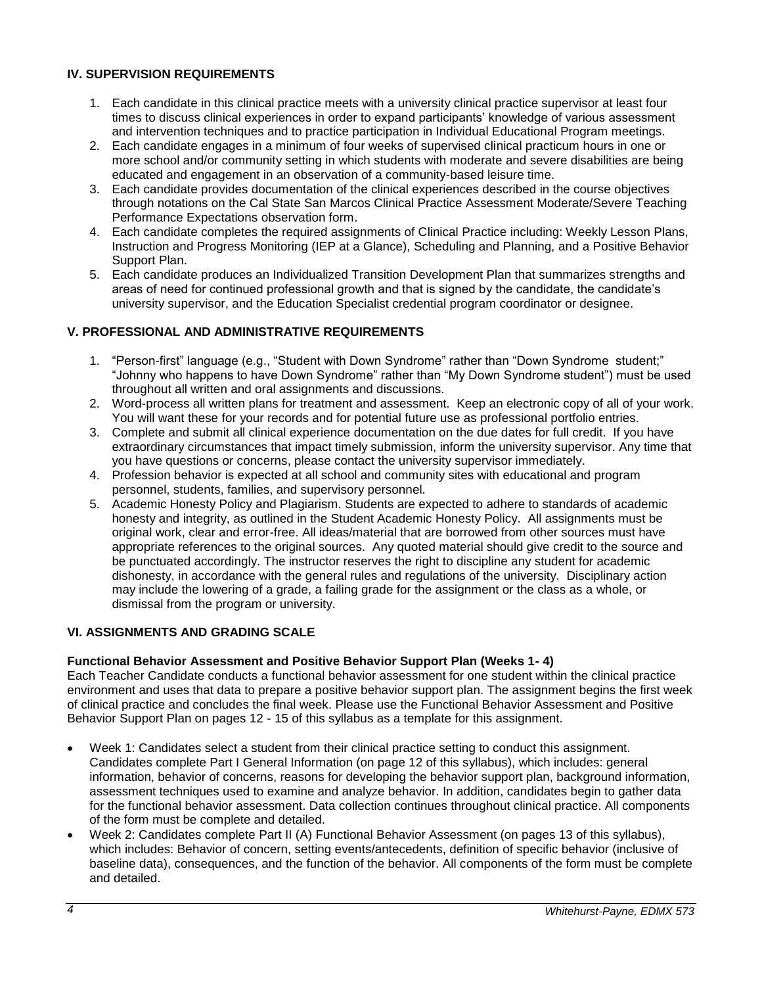## **IV. SUPERVISION REQUIREMENTS**

- 1. Each candidate in this clinical practice meets with a university clinical practice supervisor at least four times to discuss clinical experiences in order to expand participants' knowledge of various assessment and intervention techniques and to practice participation in Individual Educational Program meetings.
- 2. Each candidate engages in a minimum of four weeks of supervised clinical practicum hours in one or more school and/or community setting in which students with moderate and severe disabilities are being educated and engagement in an observation of a community-based leisure time.
- 3. Each candidate provides documentation of the clinical experiences described in the course objectives through notations on the Cal State San Marcos Clinical Practice Assessment Moderate/Severe Teaching Performance Expectations observation form.
- 4. Each candidate completes the required assignments of Clinical Practice including: Weekly Lesson Plans, Instruction and Progress Monitoring (IEP at a Glance), Scheduling and Planning, and a Positive Behavior Support Plan.
- 5. Each candidate produces an Individualized Transition Development Plan that summarizes strengths and areas of need for continued professional growth and that is signed by the candidate, the candidate's university supervisor, and the Education Specialist credential program coordinator or designee.

## <span id="page-3-0"></span>**V. PROFESSIONAL AND ADMINISTRATIVE REQUIREMENTS**

- 1. "Person-first" language (e.g., "Student with Down Syndrome" rather than "Down Syndrome student;" "Johnny who happens to have Down Syndrome" rather than "My Down Syndrome student") must be used throughout all written and oral assignments and discussions.
- 2. Word-process all written plans for treatment and assessment. Keep an electronic copy of all of your work. You will want these for your records and for potential future use as professional portfolio entries.
- 3. Complete and submit all clinical experience documentation on the due dates for full credit. If you have extraordinary circumstances that impact timely submission, inform the university supervisor. Any time that you have questions or concerns, please contact the university supervisor immediately.
- 4. Profession behavior is expected at all school and community sites with educational and program personnel, students, families, and supervisory personnel.
- 5. Academic Honesty Policy and Plagiarism. Students are expected to adhere to standards of academic honesty and integrity, as outlined in the Student Academic Honesty Policy. All assignments must be original work, clear and error-free. All ideas/material that are borrowed from other sources must have appropriate references to the original sources. Any quoted material should give credit to the source and be punctuated accordingly. The instructor reserves the right to discipline any student for academic dishonesty, in accordance with the general rules and regulations of the university. Disciplinary action may include the lowering of a grade, a failing grade for the assignment or the class as a whole, or dismissal from the program or university.

## <span id="page-3-1"></span>**VI. ASSIGNMENTS AND GRADING SCALE**

## <span id="page-3-2"></span>**Functional Behavior Assessment and Positive Behavior Support Plan (Weeks 1- 4)**

Each Teacher Candidate conducts a functional behavior assessment for one student within the clinical practice environment and uses that data to prepare a positive behavior support plan. The assignment begins the first week of clinical practice and concludes the final week. Please use the Functional Behavior Assessment and Positive Behavior Support Plan on pages 12 - 15 of this syllabus as a template for this assignment.

- Week 1: Candidates select a student from their clinical practice setting to conduct this assignment. Candidates complete Part I General Information (on page 12 of this syllabus), which includes: general information, behavior of concerns, reasons for developing the behavior support plan, background information, assessment techniques used to examine and analyze behavior. In addition, candidates begin to gather data for the functional behavior assessment. Data collection continues throughout clinical practice. All components of the form must be complete and detailed.
- Week 2: Candidates complete Part II (A) Functional Behavior Assessment (on pages 13 of this syllabus), which includes: Behavior of concern, setting events/antecedents, definition of specific behavior (inclusive of baseline data), consequences, and the function of the behavior. All components of the form must be complete and detailed.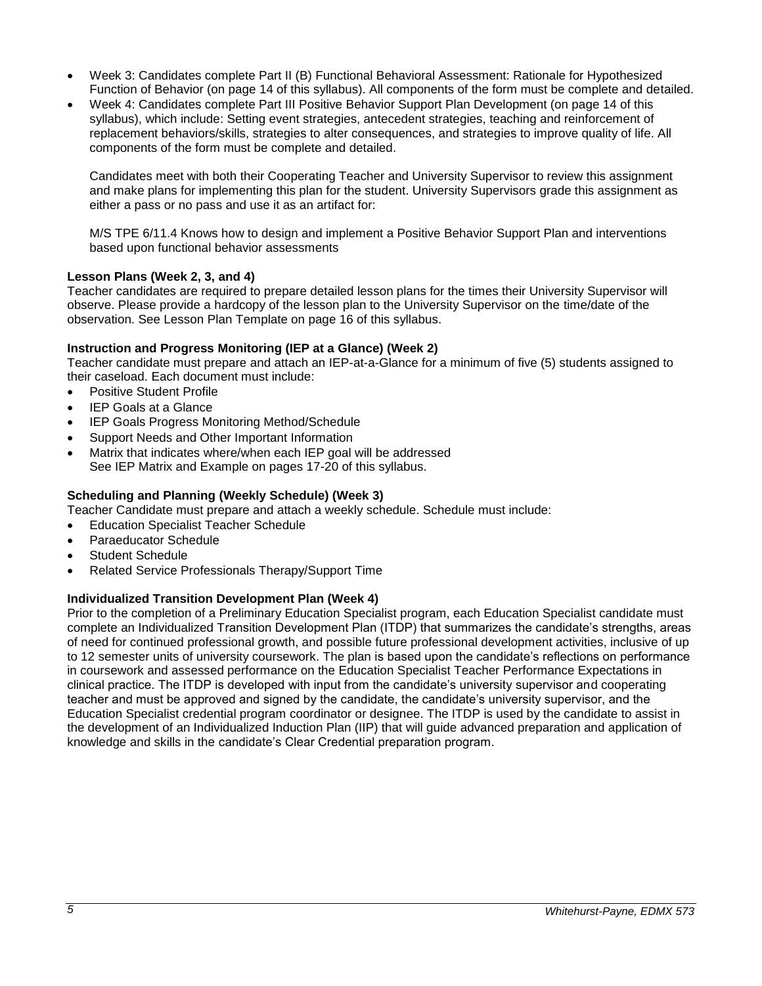- Week 3: Candidates complete Part II (B) Functional Behavioral Assessment: Rationale for Hypothesized Function of Behavior (on page 14 of this syllabus). All components of the form must be complete and detailed.
- Week 4: Candidates complete Part III Positive Behavior Support Plan Development (on page 14 of this syllabus), which include: Setting event strategies, antecedent strategies, teaching and reinforcement of replacement behaviors/skills, strategies to alter consequences, and strategies to improve quality of life. All components of the form must be complete and detailed.

Candidates meet with both their Cooperating Teacher and University Supervisor to review this assignment and make plans for implementing this plan for the student. University Supervisors grade this assignment as either a pass or no pass and use it as an artifact for:

M/S TPE 6/11.4 Knows how to design and implement a Positive Behavior Support Plan and interventions based upon functional behavior assessments

## <span id="page-4-0"></span>**Lesson Plans (Week 2, 3, and 4)**

Teacher candidates are required to prepare detailed lesson plans for the times their University Supervisor will observe. Please provide a hardcopy of the lesson plan to the University Supervisor on the time/date of the observation. See Lesson Plan Template on page 16 of this syllabus.

## <span id="page-4-1"></span>**Instruction and Progress Monitoring (IEP at a Glance) (Week 2)**

Teacher candidate must prepare and attach an IEP-at-a-Glance for a minimum of five (5) students assigned to their caseload. Each document must include:

- Positive Student Profile
- IEP Goals at a Glance
- IEP Goals Progress Monitoring Method/Schedule
- Support Needs and Other Important Information
- Matrix that indicates where/when each IEP goal will be addressed See IEP Matrix and Example on pages 17-20 of this syllabus.

#### <span id="page-4-2"></span>**Scheduling and Planning (Weekly Schedule) (Week 3)**

Teacher Candidate must prepare and attach a weekly schedule. Schedule must include:

- Education Specialist Teacher Schedule
- Paraeducator Schedule
- Student Schedule
- Related Service Professionals Therapy/Support Time

#### <span id="page-4-3"></span>**Individualized Transition Development Plan (Week 4)**

<span id="page-4-4"></span>Prior to the completion of a Preliminary Education Specialist program, each Education Specialist candidate must complete an Individualized Transition Development Plan (ITDP) that summarizes the candidate's strengths, areas of need for continued professional growth, and possible future professional development activities, inclusive of up to 12 semester units of university coursework. The plan is based upon the candidate's reflections on performance in coursework and assessed performance on the Education Specialist Teacher Performance Expectations in clinical practice. The ITDP is developed with input from the candidate's university supervisor and cooperating teacher and must be approved and signed by the candidate, the candidate's university supervisor, and the Education Specialist credential program coordinator or designee. The ITDP is used by the candidate to assist in the development of an Individualized Induction Plan (IIP) that will guide advanced preparation and application of knowledge and skills in the candidate's Clear Credential preparation program.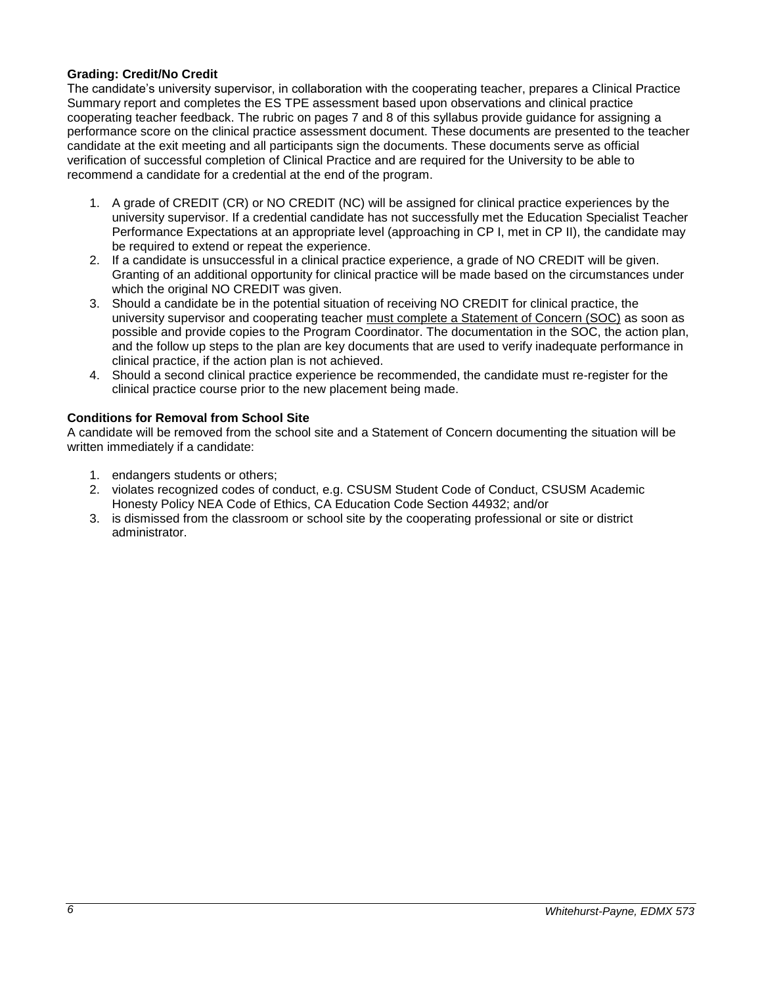## **Grading: Credit/No Credit**

The candidate's university supervisor, in collaboration with the cooperating teacher, prepares a Clinical Practice Summary report and completes the ES TPE assessment based upon observations and clinical practice cooperating teacher feedback. The rubric on pages 7 and 8 of this syllabus provide guidance for assigning a performance score on the clinical practice assessment document. These documents are presented to the teacher candidate at the exit meeting and all participants sign the documents. These documents serve as official verification of successful completion of Clinical Practice and are required for the University to be able to recommend a candidate for a credential at the end of the program.

- 1. A grade of CREDIT (CR) or NO CREDIT (NC) will be assigned for clinical practice experiences by the university supervisor. If a credential candidate has not successfully met the Education Specialist Teacher Performance Expectations at an appropriate level (approaching in CP I, met in CP II), the candidate may be required to extend or repeat the experience.
- 2. If a candidate is unsuccessful in a clinical practice experience, a grade of NO CREDIT will be given. Granting of an additional opportunity for clinical practice will be made based on the circumstances under which the original NO CREDIT was given.
- 3. Should a candidate be in the potential situation of receiving NO CREDIT for clinical practice, the university supervisor and cooperating teacher must complete a Statement of Concern (SOC) as soon as possible and provide copies to the Program Coordinator. The documentation in the SOC, the action plan, and the follow up steps to the plan are key documents that are used to verify inadequate performance in clinical practice, if the action plan is not achieved.
- 4. Should a second clinical practice experience be recommended, the candidate must re-register for the clinical practice course prior to the new placement being made.

## <span id="page-5-0"></span>**Conditions for Removal from School Site**

A candidate will be removed from the school site and a Statement of Concern documenting the situation will be written immediately if a candidate:

- 1. endangers students or others;
- 2. violates recognized codes of conduct, e.g. CSUSM Student Code of Conduct, CSUSM Academic Honesty Policy NEA Code of Ethics, CA Education Code Section 44932; and/or
- <span id="page-5-1"></span>3. is dismissed from the classroom or school site by the cooperating professional or site or district administrator.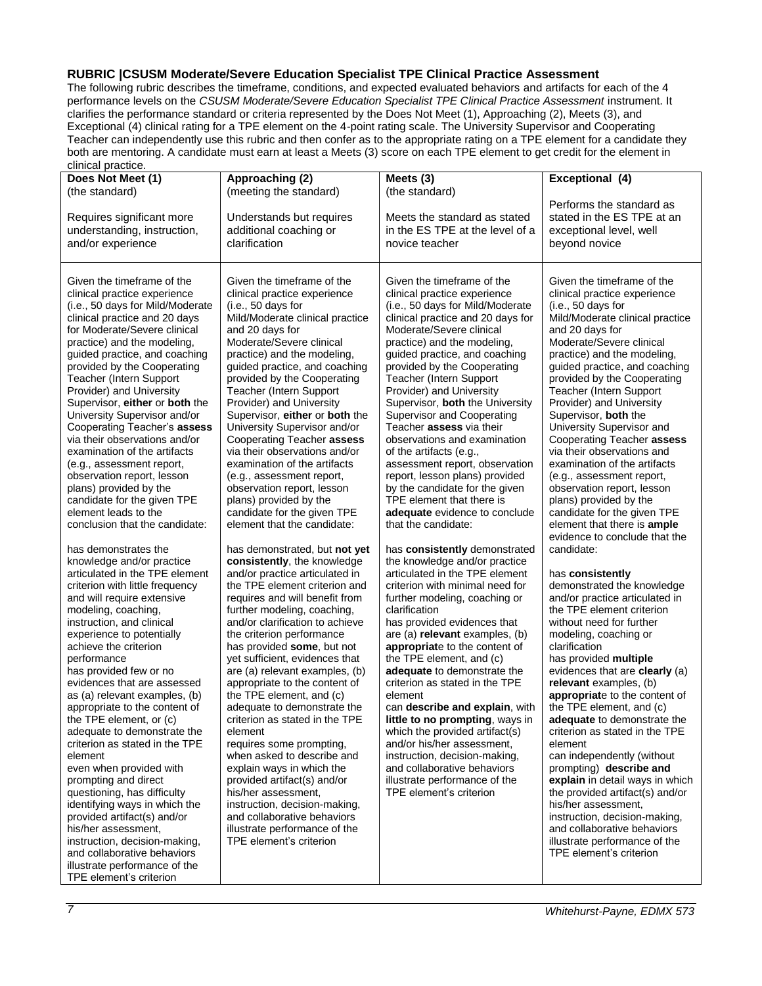#### **RUBRIC |CSUSM Moderate/Severe Education Specialist TPE Clinical Practice Assessment**

The following rubric describes the timeframe, conditions, and expected evaluated behaviors and artifacts for each of the 4 performance levels on the *CSUSM Moderate/Severe Education Specialist TPE Clinical Practice Assessment* instrument. It clarifies the performance standard or criteria represented by the Does Not Meet (1), Approaching (2), Meets (3), and Exceptional (4) clinical rating for a TPE element on the 4-point rating scale. The University Supervisor and Cooperating Teacher can independently use this rubric and then confer as to the appropriate rating on a TPE element for a candidate they both are mentoring. A candidate must earn at least a Meets (3) score on each TPE element to get credit for the element in

<span id="page-6-0"></span>

| Does Not Meet (1)                                                                                                                                                                                                                                                                                                                                                                                                                                                                                                                                                                                                                                                                                                                                                                                                                                                                                                                                                                                                                                                                                                                                                                                                                                                                                                                                                                                                                                                                              | Approaching (2)                                                                                                                                                                                                                                                                                                                                                                                                                                                                                                                                                                                                                                                                                                                                                                                                                                                                                                                                                                                                                                                                                                                                                                                                                                                                                                                                                                                                                      | Meets (3)                                                                                                                                                                                                                                                                                                                                                                                                                                                                                                                                                                                                                                                                                                                                                                                                                                                                                                                                                                                                                                                                                                                                                                                                                                                                                                                                           | Exceptional (4)                                                                                                                                                                                                                                                                                                                                                                                                                                                                                                                                                                                                                                                                                                                                                                                                                                                                                                                                                                                                                                                                                                                                                                                                                                                                                                                                                                           |
|------------------------------------------------------------------------------------------------------------------------------------------------------------------------------------------------------------------------------------------------------------------------------------------------------------------------------------------------------------------------------------------------------------------------------------------------------------------------------------------------------------------------------------------------------------------------------------------------------------------------------------------------------------------------------------------------------------------------------------------------------------------------------------------------------------------------------------------------------------------------------------------------------------------------------------------------------------------------------------------------------------------------------------------------------------------------------------------------------------------------------------------------------------------------------------------------------------------------------------------------------------------------------------------------------------------------------------------------------------------------------------------------------------------------------------------------------------------------------------------------|--------------------------------------------------------------------------------------------------------------------------------------------------------------------------------------------------------------------------------------------------------------------------------------------------------------------------------------------------------------------------------------------------------------------------------------------------------------------------------------------------------------------------------------------------------------------------------------------------------------------------------------------------------------------------------------------------------------------------------------------------------------------------------------------------------------------------------------------------------------------------------------------------------------------------------------------------------------------------------------------------------------------------------------------------------------------------------------------------------------------------------------------------------------------------------------------------------------------------------------------------------------------------------------------------------------------------------------------------------------------------------------------------------------------------------------|-----------------------------------------------------------------------------------------------------------------------------------------------------------------------------------------------------------------------------------------------------------------------------------------------------------------------------------------------------------------------------------------------------------------------------------------------------------------------------------------------------------------------------------------------------------------------------------------------------------------------------------------------------------------------------------------------------------------------------------------------------------------------------------------------------------------------------------------------------------------------------------------------------------------------------------------------------------------------------------------------------------------------------------------------------------------------------------------------------------------------------------------------------------------------------------------------------------------------------------------------------------------------------------------------------------------------------------------------------|-------------------------------------------------------------------------------------------------------------------------------------------------------------------------------------------------------------------------------------------------------------------------------------------------------------------------------------------------------------------------------------------------------------------------------------------------------------------------------------------------------------------------------------------------------------------------------------------------------------------------------------------------------------------------------------------------------------------------------------------------------------------------------------------------------------------------------------------------------------------------------------------------------------------------------------------------------------------------------------------------------------------------------------------------------------------------------------------------------------------------------------------------------------------------------------------------------------------------------------------------------------------------------------------------------------------------------------------------------------------------------------------|
| (the standard)<br>Requires significant more<br>understanding, instruction,<br>and/or experience                                                                                                                                                                                                                                                                                                                                                                                                                                                                                                                                                                                                                                                                                                                                                                                                                                                                                                                                                                                                                                                                                                                                                                                                                                                                                                                                                                                                | (meeting the standard)<br>Understands but requires<br>additional coaching or<br>clarification                                                                                                                                                                                                                                                                                                                                                                                                                                                                                                                                                                                                                                                                                                                                                                                                                                                                                                                                                                                                                                                                                                                                                                                                                                                                                                                                        | (the standard)<br>Meets the standard as stated<br>in the ES TPE at the level of a<br>novice teacher                                                                                                                                                                                                                                                                                                                                                                                                                                                                                                                                                                                                                                                                                                                                                                                                                                                                                                                                                                                                                                                                                                                                                                                                                                                 | Performs the standard as<br>stated in the ES TPE at an<br>exceptional level, well<br>beyond novice                                                                                                                                                                                                                                                                                                                                                                                                                                                                                                                                                                                                                                                                                                                                                                                                                                                                                                                                                                                                                                                                                                                                                                                                                                                                                        |
| Given the timeframe of the<br>clinical practice experience<br>(i.e., 50 days for Mild/Moderate<br>clinical practice and 20 days<br>for Moderate/Severe clinical<br>practice) and the modeling,<br>guided practice, and coaching<br>provided by the Cooperating<br>Teacher (Intern Support<br>Provider) and University<br>Supervisor, either or both the<br>University Supervisor and/or<br>Cooperating Teacher's assess<br>via their observations and/or<br>examination of the artifacts<br>(e.g., assessment report,<br>observation report, lesson<br>plans) provided by the<br>candidate for the given TPE<br>element leads to the<br>conclusion that the candidate:<br>has demonstrates the<br>knowledge and/or practice<br>articulated in the TPE element<br>criterion with little frequency<br>and will require extensive<br>modeling, coaching,<br>instruction, and clinical<br>experience to potentially<br>achieve the criterion<br>performance<br>has provided few or no<br>evidences that are assessed<br>as (a) relevant examples, (b)<br>appropriate to the content of<br>the TPE element, or (c)<br>adequate to demonstrate the<br>criterion as stated in the TPE<br>element<br>even when provided with<br>prompting and direct<br>questioning, has difficulty<br>identifying ways in which the<br>provided artifact(s) and/or<br>his/her assessment,<br>instruction, decision-making,<br>and collaborative behaviors<br>illustrate performance of the<br>TPE element's criterion | Given the timeframe of the<br>clinical practice experience<br>(i.e., 50 days for<br>Mild/Moderate clinical practice<br>and 20 days for<br>Moderate/Severe clinical<br>practice) and the modeling,<br>guided practice, and coaching<br>provided by the Cooperating<br>Teacher (Intern Support<br>Provider) and University<br>Supervisor, either or both the<br>University Supervisor and/or<br>Cooperating Teacher assess<br>via their observations and/or<br>examination of the artifacts<br>(e.g., assessment report,<br>observation report, lesson<br>plans) provided by the<br>candidate for the given TPE<br>element that the candidate:<br>has demonstrated, but not yet<br>consistently, the knowledge<br>and/or practice articulated in<br>the TPE element criterion and<br>requires and will benefit from<br>further modeling, coaching,<br>and/or clarification to achieve<br>the criterion performance<br>has provided some, but not<br>yet sufficient, evidences that<br>are (a) relevant examples, (b)<br>appropriate to the content of<br>the TPE element, and (c)<br>adequate to demonstrate the<br>criterion as stated in the TPE<br>element<br>requires some prompting,<br>when asked to describe and<br>explain ways in which the<br>provided artifact(s) and/or<br>his/her assessment,<br>instruction, decision-making,<br>and collaborative behaviors<br>illustrate performance of the<br>TPE element's criterion | Given the timeframe of the<br>clinical practice experience<br>(i.e., 50 days for Mild/Moderate<br>clinical practice and 20 days for<br>Moderate/Severe clinical<br>practice) and the modeling,<br>guided practice, and coaching<br>provided by the Cooperating<br>Teacher (Intern Support<br>Provider) and University<br>Supervisor, both the University<br><b>Supervisor and Cooperating</b><br>Teacher assess via their<br>observations and examination<br>of the artifacts (e.g.,<br>assessment report, observation<br>report, lesson plans) provided<br>by the candidate for the given<br>TPE element that there is<br>adequate evidence to conclude<br>that the candidate:<br>has consistently demonstrated<br>the knowledge and/or practice<br>articulated in the TPE element<br>criterion with minimal need for<br>further modeling, coaching or<br>clarification<br>has provided evidences that<br>are (a) relevant examples, (b)<br>appropriate to the content of<br>the TPE element, and (c)<br>adequate to demonstrate the<br>criterion as stated in the TPE<br>element<br>can describe and explain, with<br>little to no prompting, ways in<br>which the provided artifact(s)<br>and/or his/her assessment,<br>instruction, decision-making,<br>and collaborative behaviors<br>illustrate performance of the<br>TPE element's criterion | Given the timeframe of the<br>clinical practice experience<br>(i.e., 50 days for<br>Mild/Moderate clinical practice<br>and 20 days for<br>Moderate/Severe clinical<br>practice) and the modeling,<br>guided practice, and coaching<br>provided by the Cooperating<br>Teacher (Intern Support<br>Provider) and University<br>Supervisor, both the<br>University Supervisor and<br>Cooperating Teacher assess<br>via their observations and<br>examination of the artifacts<br>(e.g., assessment report,<br>observation report, lesson<br>plans) provided by the<br>candidate for the given TPE<br>element that there is <b>ample</b><br>evidence to conclude that the<br>candidate:<br>has consistently<br>demonstrated the knowledge<br>and/or practice articulated in<br>the TPE element criterion<br>without need for further<br>modeling, coaching or<br>clarification<br>has provided multiple<br>evidences that are clearly (a)<br>relevant examples, (b)<br>appropriate to the content of<br>the TPE element, and (c)<br>adequate to demonstrate the<br>criterion as stated in the TPE<br>element<br>can independently (without<br>prompting) describe and<br>explain in detail ways in which<br>the provided artifact(s) and/or<br>his/her assessment,<br>instruction, decision-making,<br>and collaborative behaviors<br>illustrate performance of the<br>TPE element's criterion |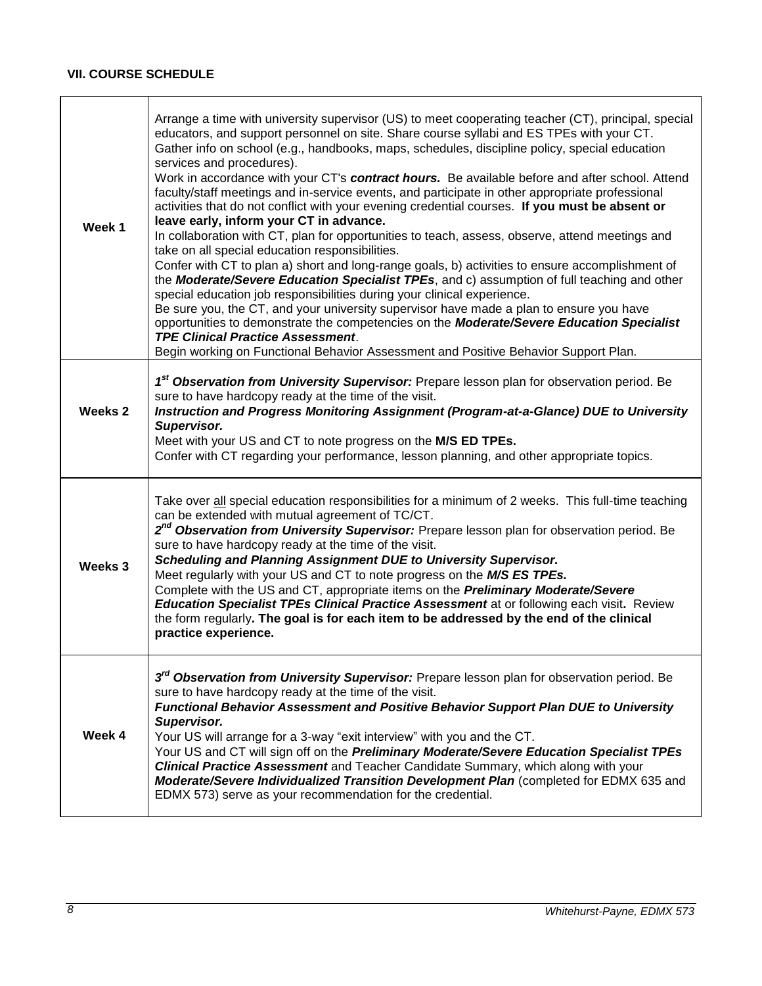# **VII. COURSE SCHEDULE**

<span id="page-7-0"></span>

| Week 1             | Arrange a time with university supervisor (US) to meet cooperating teacher (CT), principal, special<br>educators, and support personnel on site. Share course syllabi and ES TPEs with your CT.<br>Gather info on school (e.g., handbooks, maps, schedules, discipline policy, special education<br>services and procedures).<br>Work in accordance with your CT's contract hours. Be available before and after school. Attend<br>faculty/staff meetings and in-service events, and participate in other appropriate professional<br>activities that do not conflict with your evening credential courses. If you must be absent or<br>leave early, inform your CT in advance.<br>In collaboration with CT, plan for opportunities to teach, assess, observe, attend meetings and<br>take on all special education responsibilities.<br>Confer with CT to plan a) short and long-range goals, b) activities to ensure accomplishment of<br>the Moderate/Severe Education Specialist TPEs, and c) assumption of full teaching and other<br>special education job responsibilities during your clinical experience.<br>Be sure you, the CT, and your university supervisor have made a plan to ensure you have<br>opportunities to demonstrate the competencies on the Moderate/Severe Education Specialist<br><b>TPE Clinical Practice Assessment.</b><br>Begin working on Functional Behavior Assessment and Positive Behavior Support Plan. |
|--------------------|-----------------------------------------------------------------------------------------------------------------------------------------------------------------------------------------------------------------------------------------------------------------------------------------------------------------------------------------------------------------------------------------------------------------------------------------------------------------------------------------------------------------------------------------------------------------------------------------------------------------------------------------------------------------------------------------------------------------------------------------------------------------------------------------------------------------------------------------------------------------------------------------------------------------------------------------------------------------------------------------------------------------------------------------------------------------------------------------------------------------------------------------------------------------------------------------------------------------------------------------------------------------------------------------------------------------------------------------------------------------------------------------------------------------------------------------------|
| Weeks <sub>2</sub> | 1 <sup>st</sup> Observation from University Supervisor: Prepare lesson plan for observation period. Be<br>sure to have hardcopy ready at the time of the visit.<br>Instruction and Progress Monitoring Assignment (Program-at-a-Glance) DUE to University<br>Supervisor.<br>Meet with your US and CT to note progress on the M/S ED TPEs.<br>Confer with CT regarding your performance, lesson planning, and other appropriate topics.                                                                                                                                                                                                                                                                                                                                                                                                                                                                                                                                                                                                                                                                                                                                                                                                                                                                                                                                                                                                        |
| Weeks 3            | Take over all special education responsibilities for a minimum of 2 weeks. This full-time teaching<br>can be extended with mutual agreement of TC/CT.<br>2 <sup>nd</sup> Observation from University Supervisor: Prepare lesson plan for observation period. Be<br>sure to have hardcopy ready at the time of the visit.<br>Scheduling and Planning Assignment DUE to University Supervisor.<br>Meet regularly with your US and CT to note progress on the M/S ES TPEs.<br>Complete with the US and CT, appropriate items on the Preliminary Moderate/Severe<br><b>Education Specialist TPEs Clinical Practice Assessment at or following each visit. Review</b><br>the form regularly. The goal is for each item to be addressed by the end of the clinical<br>practice experience.                                                                                                                                                                                                                                                                                                                                                                                                                                                                                                                                                                                                                                                          |
| Week 4             | 3 <sup>rd</sup> Observation from University Supervisor: Prepare lesson plan for observation period. Be<br>sure to have hardcopy ready at the time of the visit.<br>Functional Behavior Assessment and Positive Behavior Support Plan DUE to University<br>Supervisor.<br>Your US will arrange for a 3-way "exit interview" with you and the CT.<br>Your US and CT will sign off on the Preliminary Moderate/Severe Education Specialist TPEs<br><b>Clinical Practice Assessment</b> and Teacher Candidate Summary, which along with your<br>Moderate/Severe Individualized Transition Development Plan (completed for EDMX 635 and<br>EDMX 573) serve as your recommendation for the credential.                                                                                                                                                                                                                                                                                                                                                                                                                                                                                                                                                                                                                                                                                                                                              |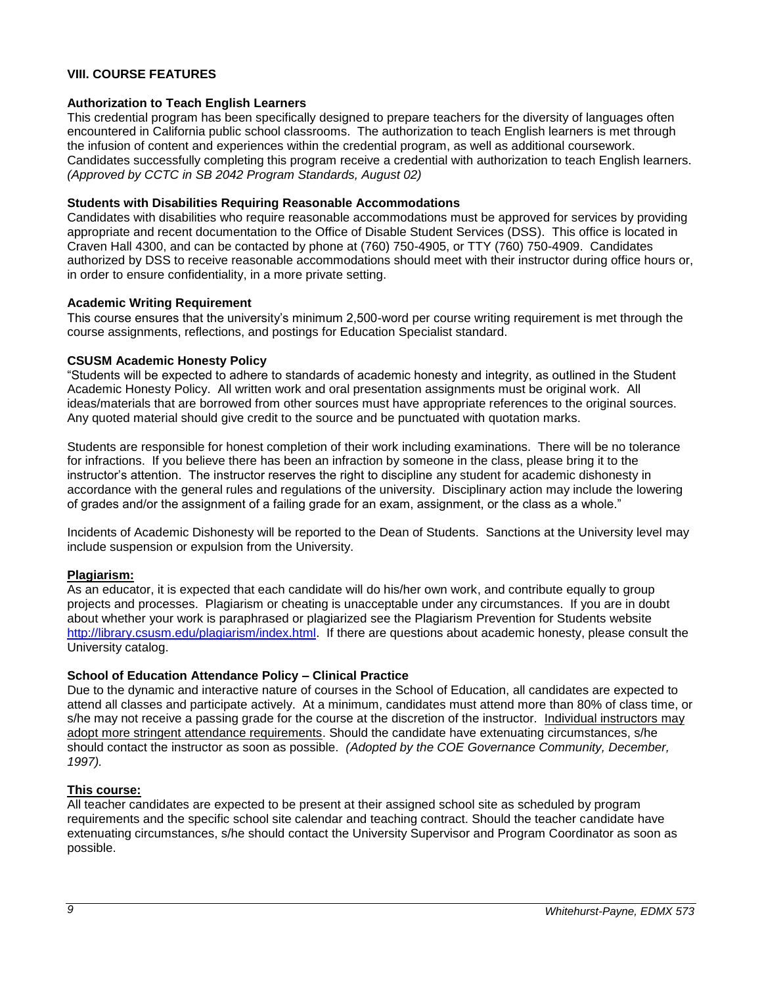## **VIII. COURSE FEATURES**

#### <span id="page-8-0"></span>**Authorization to Teach English Learners**

This credential program has been specifically designed to prepare teachers for the diversity of languages often encountered in California public school classrooms. The authorization to teach English learners is met through the infusion of content and experiences within the credential program, as well as additional coursework. Candidates successfully completing this program receive a credential with authorization to teach English learners. *(Approved by CCTC in SB 2042 Program Standards, August 02)*

#### <span id="page-8-1"></span>**Students with Disabilities Requiring Reasonable Accommodations**

Candidates with disabilities who require reasonable accommodations must be approved for services by providing appropriate and recent documentation to the Office of Disable Student Services (DSS). This office is located in Craven Hall 4300, and can be contacted by phone at (760) 750-4905, or TTY (760) 750-4909. Candidates authorized by DSS to receive reasonable accommodations should meet with their instructor during office hours or, in order to ensure confidentiality, in a more private setting.

## <span id="page-8-2"></span>**Academic Writing Requirement**

This course ensures that the university's minimum 2,500-word per course writing requirement is met through the course assignments, reflections, and postings for Education Specialist standard.

## <span id="page-8-3"></span>**CSUSM Academic Honesty Policy**

"Students will be expected to adhere to standards of academic honesty and integrity, as outlined in the Student Academic Honesty Policy. All written work and oral presentation assignments must be original work. All ideas/materials that are borrowed from other sources must have appropriate references to the original sources. Any quoted material should give credit to the source and be punctuated with quotation marks.

Students are responsible for honest completion of their work including examinations. There will be no tolerance for infractions. If you believe there has been an infraction by someone in the class, please bring it to the instructor's attention. The instructor reserves the right to discipline any student for academic dishonesty in accordance with the general rules and regulations of the university. Disciplinary action may include the lowering of grades and/or the assignment of a failing grade for an exam, assignment, or the class as a whole."

Incidents of Academic Dishonesty will be reported to the Dean of Students. Sanctions at the University level may include suspension or expulsion from the University.

## <span id="page-8-4"></span>**Plagiarism:**

As an educator, it is expected that each candidate will do his/her own work, and contribute equally to group projects and processes. Plagiarism or cheating is unacceptable under any circumstances. If you are in doubt about whether your work is paraphrased or plagiarized see the Plagiarism Prevention for Students website [http://library.csusm.edu/plagiarism/index.html.](http://library.csusm.edu/plagiarism/index.html) If there are questions about academic honesty, please consult the University catalog.

## <span id="page-8-5"></span>**School of Education Attendance Policy – Clinical Practice**

Due to the dynamic and interactive nature of courses in the School of Education, all candidates are expected to attend all classes and participate actively. At a minimum, candidates must attend more than 80% of class time, or s/he may not receive a passing grade for the course at the discretion of the instructor. Individual instructors may adopt more stringent attendance requirements. Should the candidate have extenuating circumstances, s/he should contact the instructor as soon as possible. *(Adopted by the COE Governance Community, December, 1997).*

#### <span id="page-8-6"></span>**This course:**

<span id="page-8-7"></span>All teacher candidates are expected to be present at their assigned school site as scheduled by program requirements and the specific school site calendar and teaching contract. Should the teacher candidate have extenuating circumstances, s/he should contact the University Supervisor and Program Coordinator as soon as possible.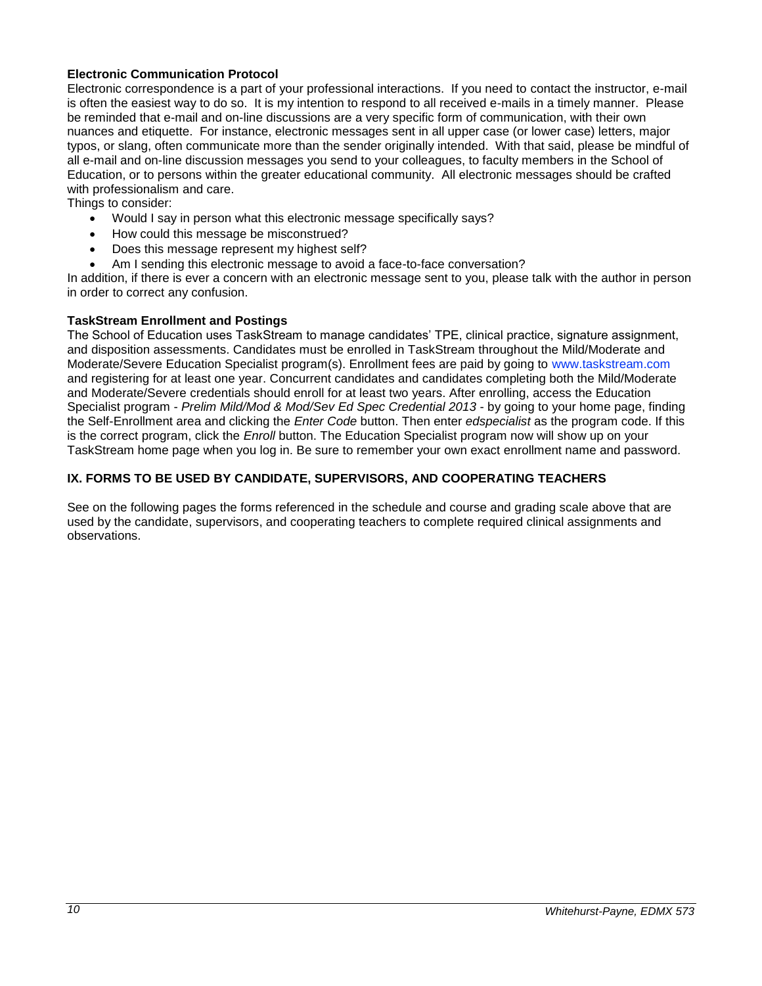## **Electronic Communication Protocol**

Electronic correspondence is a part of your professional interactions. If you need to contact the instructor, e-mail is often the easiest way to do so. It is my intention to respond to all received e-mails in a timely manner. Please be reminded that e-mail and on-line discussions are a very specific form of communication, with their own nuances and etiquette. For instance, electronic messages sent in all upper case (or lower case) letters, major typos, or slang, often communicate more than the sender originally intended. With that said, please be mindful of all e-mail and on-line discussion messages you send to your colleagues, to faculty members in the School of Education, or to persons within the greater educational community. All electronic messages should be crafted with professionalism and care.

Things to consider:

- Would I say in person what this electronic message specifically says?
- How could this message be misconstrued?
- Does this message represent my highest self?
- Am I sending this electronic message to avoid a face-to-face conversation?

In addition, if there is ever a concern with an electronic message sent to you, please talk with the author in person in order to correct any confusion.

## <span id="page-9-0"></span>**TaskStream Enrollment and Postings**

The School of Education uses TaskStream to manage candidates' TPE, clinical practice, signature assignment, and disposition assessments. Candidates must be enrolled in TaskStream throughout the Mild/Moderate and Moderate/Severe Education Specialist program(s). Enrollment fees are paid by going to [www.taskstream.com](http://www.taskstrem.com/) and registering for at least one year. Concurrent candidates and candidates completing both the Mild/Moderate and Moderate/Severe credentials should enroll for at least two years. After enrolling, access the Education Specialist program - *Prelim Mild/Mod & Mod/Sev Ed Spec Credential 2013* - by going to your home page, finding the Self-Enrollment area and clicking the *Enter Code* button. Then enter *edspecialist* as the program code. If this is the correct program, click the *Enroll* button. The Education Specialist program now will show up on your TaskStream home page when you log in. Be sure to remember your own exact enrollment name and password.

## <span id="page-9-1"></span>**IX. FORMS TO BE USED BY CANDIDATE, SUPERVISORS, AND COOPERATING TEACHERS**

See on the following pages the forms referenced in the schedule and course and grading scale above that are used by the candidate, supervisors, and cooperating teachers to complete required clinical assignments and observations.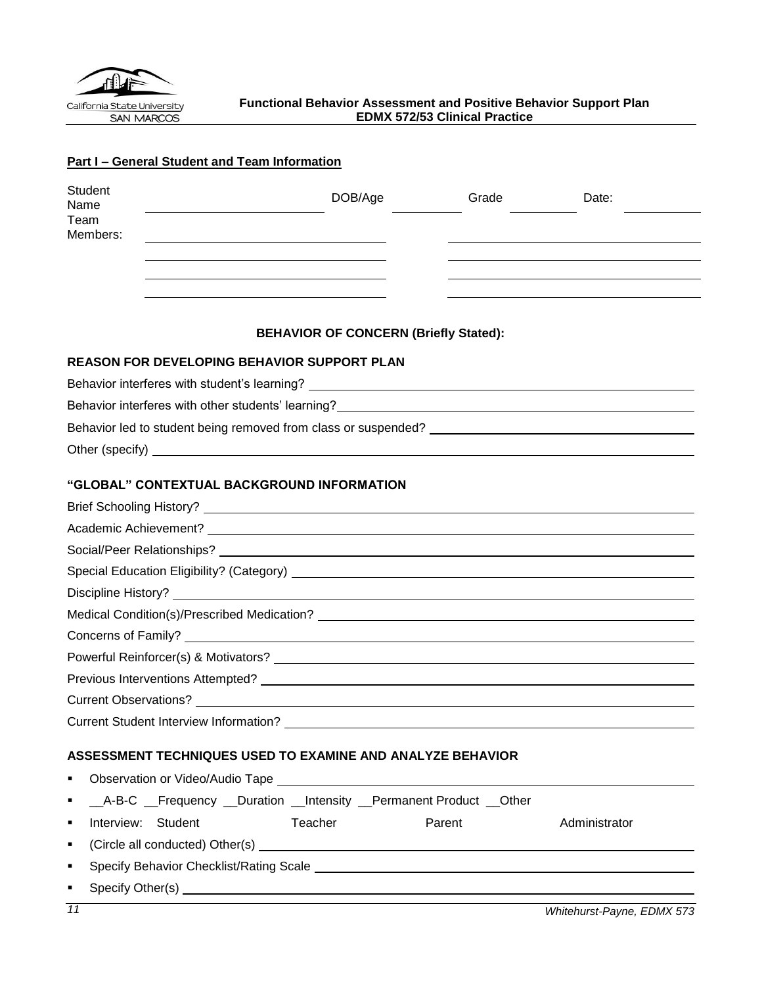<span id="page-10-0"></span>

# **Part I – General Student and Team Information**

| Student<br>Name<br>Team<br>Members:                                                                                                                                                                                                  | DOB/Age                                                          | Grade  | Date:                      |
|--------------------------------------------------------------------------------------------------------------------------------------------------------------------------------------------------------------------------------------|------------------------------------------------------------------|--------|----------------------------|
|                                                                                                                                                                                                                                      |                                                                  |        |                            |
|                                                                                                                                                                                                                                      |                                                                  |        |                            |
|                                                                                                                                                                                                                                      |                                                                  |        |                            |
|                                                                                                                                                                                                                                      | <b>BEHAVIOR OF CONCERN (Briefly Stated):</b>                     |        |                            |
| <b>REASON FOR DEVELOPING BEHAVIOR SUPPORT PLAN</b>                                                                                                                                                                                   |                                                                  |        |                            |
|                                                                                                                                                                                                                                      |                                                                  |        |                            |
| Behavior interferes with other students' learning?<br>Sehavior interferes with other students' learning?                                                                                                                             |                                                                  |        |                            |
|                                                                                                                                                                                                                                      |                                                                  |        |                            |
| Other (specify) <u>example and the set of the set of the set of the set of the set of the set of the set of the set of the set of the set of the set of the set of the set of the set of the set of the set of the set of the se</u> |                                                                  |        |                            |
|                                                                                                                                                                                                                                      |                                                                  |        |                            |
| "GLOBAL" CONTEXTUAL BACKGROUND INFORMATION                                                                                                                                                                                           |                                                                  |        |                            |
|                                                                                                                                                                                                                                      |                                                                  |        |                            |
|                                                                                                                                                                                                                                      |                                                                  |        |                            |
|                                                                                                                                                                                                                                      |                                                                  |        |                            |
|                                                                                                                                                                                                                                      |                                                                  |        |                            |
|                                                                                                                                                                                                                                      |                                                                  |        |                            |
|                                                                                                                                                                                                                                      |                                                                  |        |                            |
|                                                                                                                                                                                                                                      |                                                                  |        |                            |
|                                                                                                                                                                                                                                      |                                                                  |        |                            |
|                                                                                                                                                                                                                                      |                                                                  |        |                            |
|                                                                                                                                                                                                                                      |                                                                  |        |                            |
|                                                                                                                                                                                                                                      |                                                                  |        |                            |
| ASSESSMENT TECHNIQUES USED TO EXAMINE AND ANALYZE BEHAVIOR                                                                                                                                                                           |                                                                  |        |                            |
| ٠                                                                                                                                                                                                                                    |                                                                  |        |                            |
| ٠                                                                                                                                                                                                                                    | _A-B-C _Frequency _Duration _Intensity _Permanent Product _Other |        |                            |
| Interview: Student<br>٠                                                                                                                                                                                                              | Teacher                                                          | Parent | Administrator              |
| ٠                                                                                                                                                                                                                                    |                                                                  |        |                            |
| ٠                                                                                                                                                                                                                                    |                                                                  |        |                            |
| ٠                                                                                                                                                                                                                                    |                                                                  |        |                            |
| 11                                                                                                                                                                                                                                   |                                                                  |        | Whitehurst-Payne, EDMX 573 |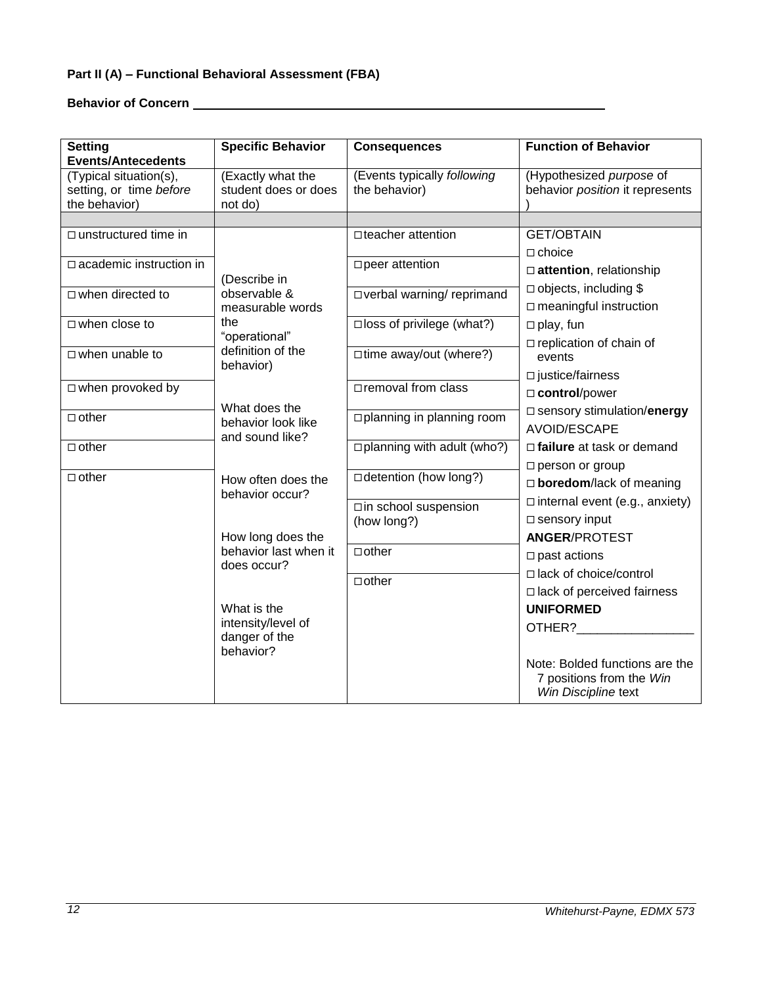# **Part II (A) – Functional Behavioral Assessment (FBA)**

**Behavior of Concern** 

| <b>Setting</b>                                                                                                                            | <b>Specific Behavior</b>                                                                                                                                              | <b>Consequences</b>                                                                                                                               | <b>Function of Behavior</b>                                                                                                                                                                                                                                                                                                                                           |
|-------------------------------------------------------------------------------------------------------------------------------------------|-----------------------------------------------------------------------------------------------------------------------------------------------------------------------|---------------------------------------------------------------------------------------------------------------------------------------------------|-----------------------------------------------------------------------------------------------------------------------------------------------------------------------------------------------------------------------------------------------------------------------------------------------------------------------------------------------------------------------|
| <b>Events/Antecedents</b><br>(Typical situation(s),<br>setting, or time before<br>the behavior)                                           | (Exactly what the<br>student does or does<br>not do)                                                                                                                  | (Events typically following<br>the behavior)                                                                                                      | (Hypothesized purpose of<br>behavior position it represents                                                                                                                                                                                                                                                                                                           |
| $\Box$ unstructured time in<br>$\Box$ academic instruction in<br>$\Box$ when directed to<br>$\Box$ when close to<br>$\Box$ when unable to | (Describe in<br>observable &<br>measurable words<br>the<br>"operational"<br>definition of the<br>behavior)                                                            | □ teacher attention<br>□ peer attention<br>□ verbal warning/ reprimand<br>$\square$ loss of privilege (what?)<br>$\square$ time away/out (where?) | <b>GET/OBTAIN</b><br>$\Box$ choice<br>attention, relationship<br>$\Box$ objects, including \$<br>$\square$ meaningful instruction<br>$\Box$ play, fun<br>$\Box$ replication of chain of<br>events                                                                                                                                                                     |
| $\Box$ when provoked by<br>$\Box$ other<br>$\Box$ other                                                                                   | What does the<br>behavior look like<br>and sound like?                                                                                                                | □ removal from class<br>□ planning in planning room<br>$\Box$ planning with adult (who?)                                                          | $\square$ justice/fairness<br>□ control/power<br>□ sensory stimulation/energy<br>AVOID/ESCAPE<br>$\Box$ failure at task or demand                                                                                                                                                                                                                                     |
| $\Box$ other                                                                                                                              | How often does the<br>behavior occur?<br>How long does the<br>behavior last when it<br>does occur?<br>What is the<br>intensity/level of<br>danger of the<br>behavior? | □ detention (how long?)<br>□in school suspension<br>(how long?)<br>$\Box$ other<br>$\Box$ other                                                   | $\square$ person or group<br>$\Box$ boredom/lack of meaning<br>$\Box$ internal event (e.g., anxiety)<br>$\square$ sensory input<br><b>ANGER/PROTEST</b><br>$\square$ past actions<br>□ lack of choice/control<br>$\Box$ lack of perceived fairness<br><b>UNIFORMED</b><br>OTHER?<br>Note: Bolded functions are the<br>7 positions from the Win<br>Win Discipline text |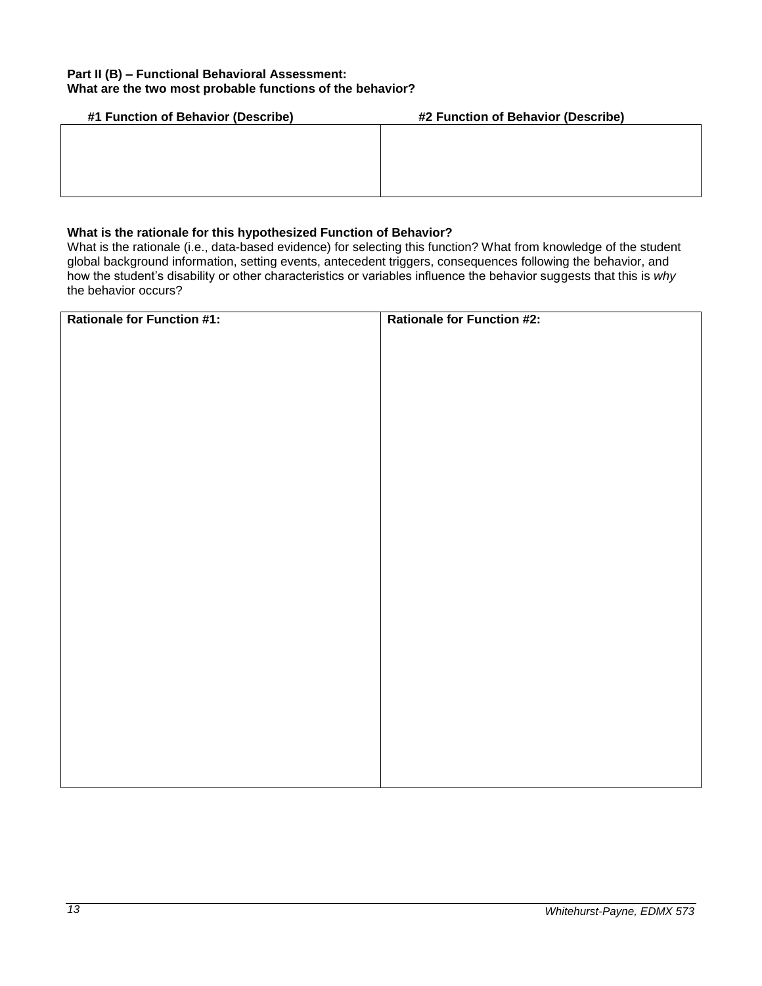## **Part II (B) – Functional Behavioral Assessment: What are the two most probable functions of the behavior?**

| #1 Function of Behavior (Describe) | #2 Function of Behavior (Describe) |
|------------------------------------|------------------------------------|
|                                    |                                    |
|                                    |                                    |
|                                    |                                    |
|                                    |                                    |
|                                    |                                    |

# **What is the rationale for this hypothesized Function of Behavior?**

What is the rationale (i.e., data-based evidence) for selecting this function? What from knowledge of the student global background information, setting events, antecedent triggers, consequences following the behavior, and how the student's disability or other characteristics or variables influence the behavior suggests that this is *why*  the behavior occurs?

| <b>Rationale for Function #1:</b> | <b>Rationale for Function #2:</b> |
|-----------------------------------|-----------------------------------|
|                                   |                                   |
|                                   |                                   |
|                                   |                                   |
|                                   |                                   |
|                                   |                                   |
|                                   |                                   |
|                                   |                                   |
|                                   |                                   |
|                                   |                                   |
|                                   |                                   |
|                                   |                                   |
|                                   |                                   |
|                                   |                                   |
|                                   |                                   |
|                                   |                                   |
|                                   |                                   |
|                                   |                                   |
|                                   |                                   |
|                                   |                                   |
|                                   |                                   |
|                                   |                                   |
|                                   |                                   |
|                                   |                                   |
|                                   |                                   |
|                                   |                                   |
|                                   |                                   |
|                                   |                                   |
|                                   |                                   |
|                                   |                                   |
|                                   |                                   |
|                                   |                                   |
|                                   |                                   |
|                                   |                                   |
|                                   |                                   |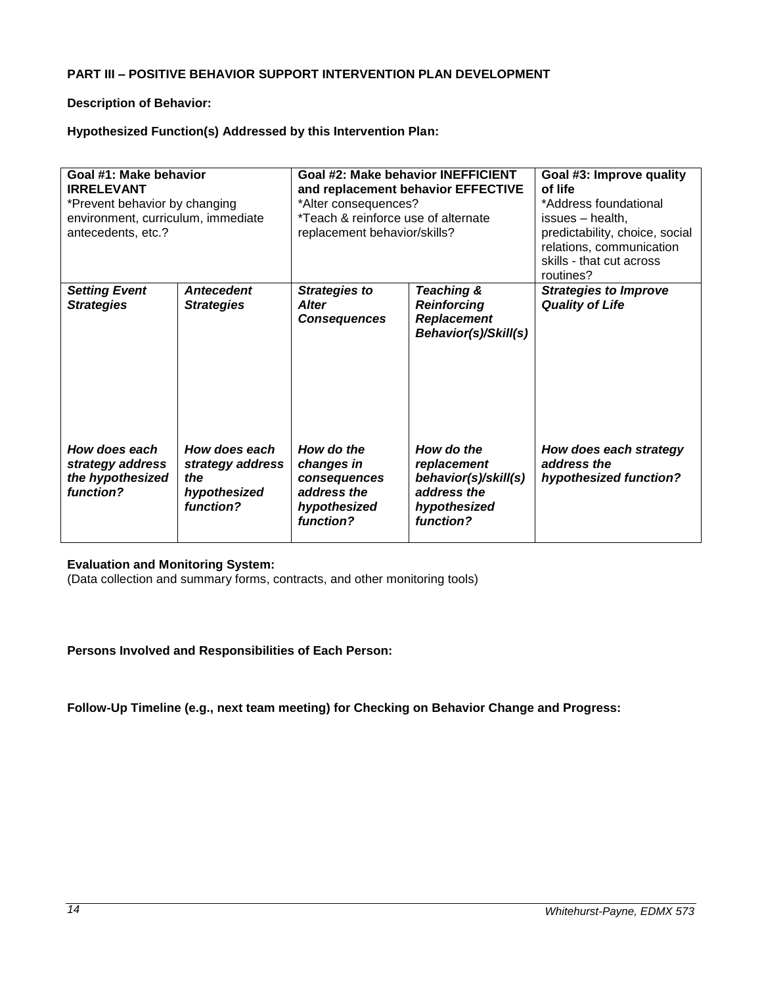## **PART III – POSITIVE BEHAVIOR SUPPORT INTERVENTION PLAN DEVELOPMENT**

## **Description of Behavior:**

## **Hypothesized Function(s) Addressed by this Intervention Plan:**

| Goal #1: Make behavior<br><b>IRRELEVANT</b><br>*Prevent behavior by changing<br>environment, curriculum, immediate<br>antecedents, etc.? |                                                                       | *Alter consequences?<br>*Teach & reinforce use of alternate<br>replacement behavior/skills? | Goal #2: Make behavior INEFFICIENT<br>and replacement behavior EFFECTIVE                      | Goal #3: Improve quality<br>of life<br>*Address foundational<br>issues - health,<br>predictability, choice, social<br>relations, communication<br>skills - that cut across<br>routines? |  |  |  |  |
|------------------------------------------------------------------------------------------------------------------------------------------|-----------------------------------------------------------------------|---------------------------------------------------------------------------------------------|-----------------------------------------------------------------------------------------------|-----------------------------------------------------------------------------------------------------------------------------------------------------------------------------------------|--|--|--|--|
| <b>Setting Event</b><br><b>Strategies</b>                                                                                                | <b>Antecedent</b><br><b>Strategies</b>                                | <b>Strategies to</b><br><b>Alter</b><br><b>Consequences</b>                                 | Teaching &<br><b>Reinforcing</b><br><b>Replacement</b><br>Behavior(s)/Skill(s)                | <b>Strategies to Improve</b><br><b>Quality of Life</b>                                                                                                                                  |  |  |  |  |
| How does each<br>strategy address<br>the hypothesized<br>function?                                                                       | How does each<br>strategy address<br>the<br>hypothesized<br>function? | How do the<br>changes in<br>consequences<br>address the<br>hypothesized<br>function?        | How do the<br>replacement<br>behavior(s)/skill(s)<br>address the<br>hypothesized<br>function? | How does each strategy<br>address the<br>hypothesized function?                                                                                                                         |  |  |  |  |

## **Evaluation and Monitoring System:**

(Data collection and summary forms, contracts, and other monitoring tools)

## **Persons Involved and Responsibilities of Each Person:**

**Follow-Up Timeline (e.g., next team meeting) for Checking on Behavior Change and Progress:**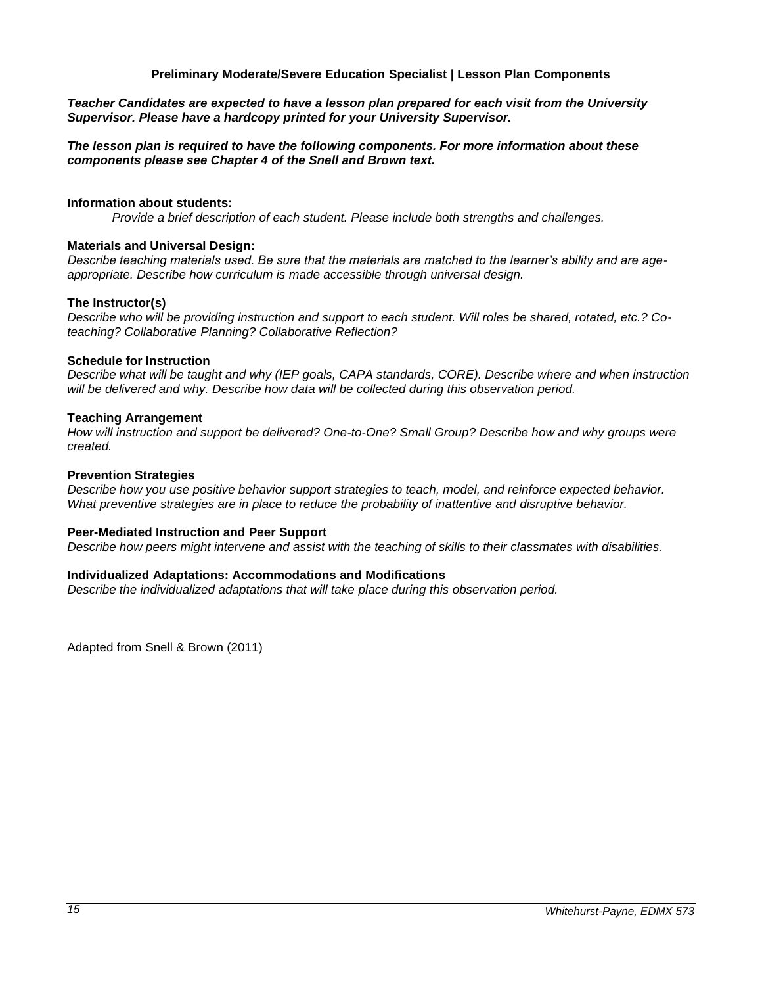#### **Preliminary Moderate/Severe Education Specialist | Lesson Plan Components**

<span id="page-14-0"></span>*Teacher Candidates are expected to have a lesson plan prepared for each visit from the University Supervisor. Please have a hardcopy printed for your University Supervisor.* 

*The lesson plan is required to have the following components. For more information about these components please see Chapter 4 of the Snell and Brown text.*

#### **Information about students:**

*Provide a brief description of each student. Please include both strengths and challenges.* 

#### **Materials and Universal Design:**

*Describe teaching materials used. Be sure that the materials are matched to the learner's ability and are ageappropriate. Describe how curriculum is made accessible through universal design.* 

#### **The Instructor(s)**

*Describe who will be providing instruction and support to each student. Will roles be shared, rotated, etc.? Coteaching? Collaborative Planning? Collaborative Reflection?* 

#### **Schedule for Instruction**

*Describe what will be taught and why (IEP goals, CAPA standards, CORE). Describe where and when instruction*  will be delivered and why. Describe how data will be collected during this observation period.

#### **Teaching Arrangement**

*How will instruction and support be delivered? One-to-One? Small Group? Describe how and why groups were created.*

#### **Prevention Strategies**

*Describe how you use positive behavior support strategies to teach, model, and reinforce expected behavior. What preventive strategies are in place to reduce the probability of inattentive and disruptive behavior.* 

#### **Peer-Mediated Instruction and Peer Support**

*Describe how peers might intervene and assist with the teaching of skills to their classmates with disabilities.* 

#### **Individualized Adaptations: Accommodations and Modifications**

*Describe the individualized adaptations that will take place during this observation period.* 

Adapted from Snell & Brown (2011)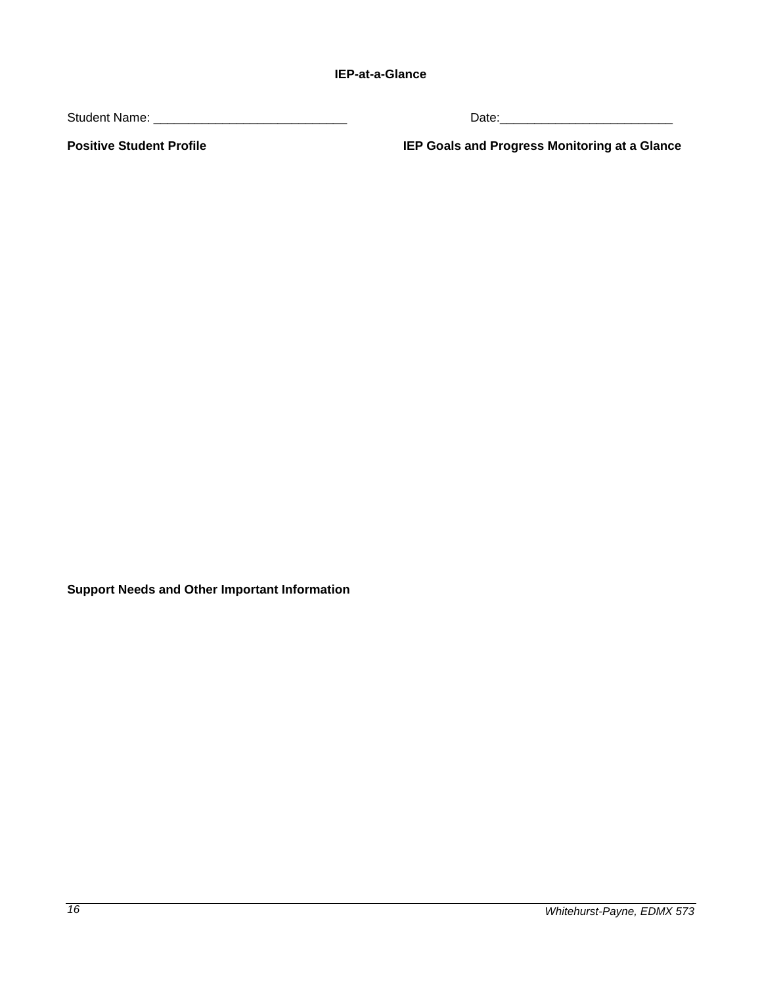<span id="page-15-0"></span>Student Name: \_\_\_\_\_\_\_\_\_\_\_\_\_\_\_\_\_\_\_\_\_\_\_\_\_\_\_\_ Date:\_\_\_\_\_\_\_\_\_\_\_\_\_\_\_\_\_\_\_\_\_\_\_\_\_

**Positive Student Profile IEP Goals and Progress Monitoring at a Glance**

**Support Needs and Other Important Information**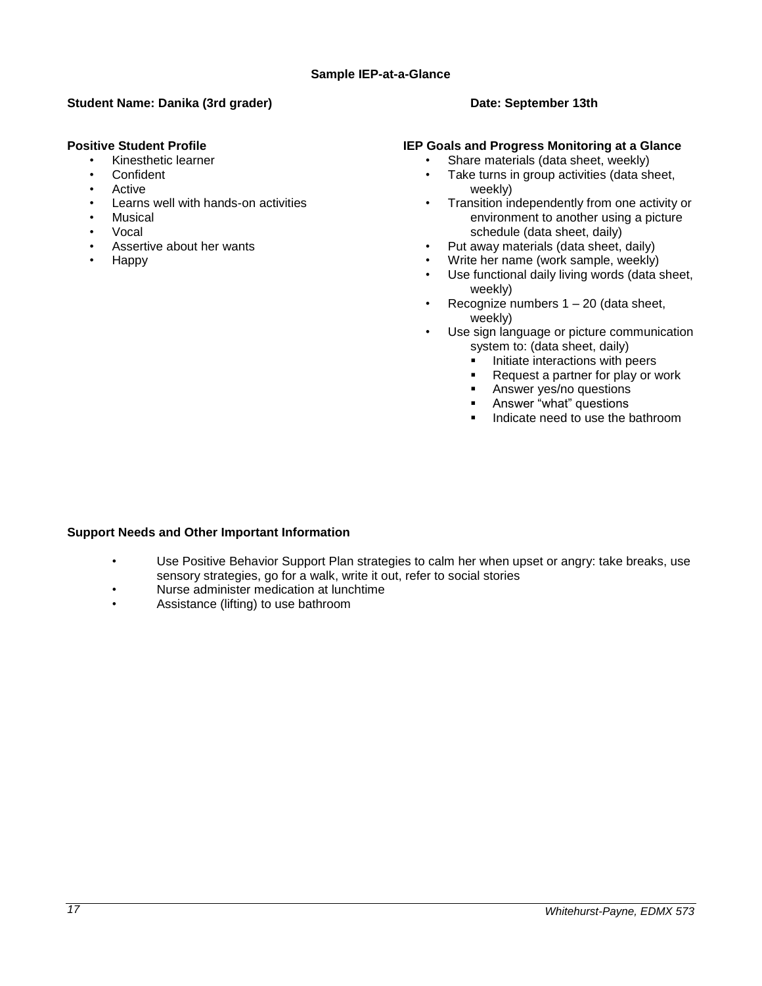## <span id="page-16-0"></span>**Student Name: Danika (3rd grader) Date: September 13th Date: September 13th**

## **Positive Student Profile**

- Kinesthetic learner
- **Confident**
- Active
- Learns well with hands-on activities
- **Musical**
- Vocal
- Assertive about her wants
- Happy

## **IEP Goals and Progress Monitoring at a Glance**

- Share materials (data sheet, weekly)
- Take turns in group activities (data sheet, weekly)
- Transition independently from one activity or environment to another using a picture schedule (data sheet, daily)
- Put away materials (data sheet, daily)
- Write her name (work sample, weekly)
- Use functional daily living words (data sheet, weekly)
- Recognize numbers  $1 20$  (data sheet, weekly)
- Use sign language or picture communication system to: (data sheet, daily)
	- Initiate interactions with peers<br>Request a partner for play or w
	- Request a partner for play or work
	- **Answer yes/no questions**
	- **Answer "what" questions**
	- Indicate need to use the bathroom

## **Support Needs and Other Important Information**

- Use Positive Behavior Support Plan strategies to calm her when upset or angry: take breaks, use sensory strategies, go for a walk, write it out, refer to social stories
- Nurse administer medication at lunchtime
- Assistance (lifting) to use bathroom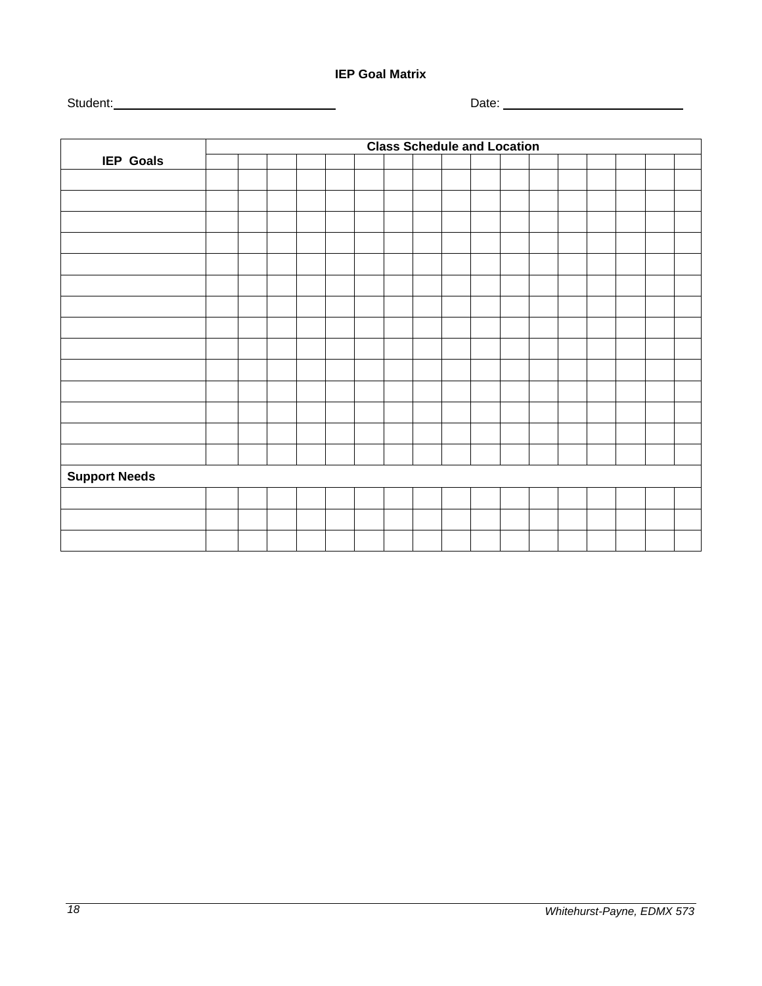## **IEP Goal Matrix**

<span id="page-17-0"></span>Student: Date:

|                      | <b>Class Schedule and Location</b> |  |  |  |  |  |  |  |  |  |  |  |  |  |
|----------------------|------------------------------------|--|--|--|--|--|--|--|--|--|--|--|--|--|
| <b>IEP Goals</b>     |                                    |  |  |  |  |  |  |  |  |  |  |  |  |  |
|                      |                                    |  |  |  |  |  |  |  |  |  |  |  |  |  |
|                      |                                    |  |  |  |  |  |  |  |  |  |  |  |  |  |
|                      |                                    |  |  |  |  |  |  |  |  |  |  |  |  |  |
|                      |                                    |  |  |  |  |  |  |  |  |  |  |  |  |  |
|                      |                                    |  |  |  |  |  |  |  |  |  |  |  |  |  |
|                      |                                    |  |  |  |  |  |  |  |  |  |  |  |  |  |
|                      |                                    |  |  |  |  |  |  |  |  |  |  |  |  |  |
|                      |                                    |  |  |  |  |  |  |  |  |  |  |  |  |  |
|                      |                                    |  |  |  |  |  |  |  |  |  |  |  |  |  |
|                      |                                    |  |  |  |  |  |  |  |  |  |  |  |  |  |
|                      |                                    |  |  |  |  |  |  |  |  |  |  |  |  |  |
|                      |                                    |  |  |  |  |  |  |  |  |  |  |  |  |  |
|                      |                                    |  |  |  |  |  |  |  |  |  |  |  |  |  |
|                      |                                    |  |  |  |  |  |  |  |  |  |  |  |  |  |
| <b>Support Needs</b> |                                    |  |  |  |  |  |  |  |  |  |  |  |  |  |
|                      |                                    |  |  |  |  |  |  |  |  |  |  |  |  |  |
|                      |                                    |  |  |  |  |  |  |  |  |  |  |  |  |  |
|                      |                                    |  |  |  |  |  |  |  |  |  |  |  |  |  |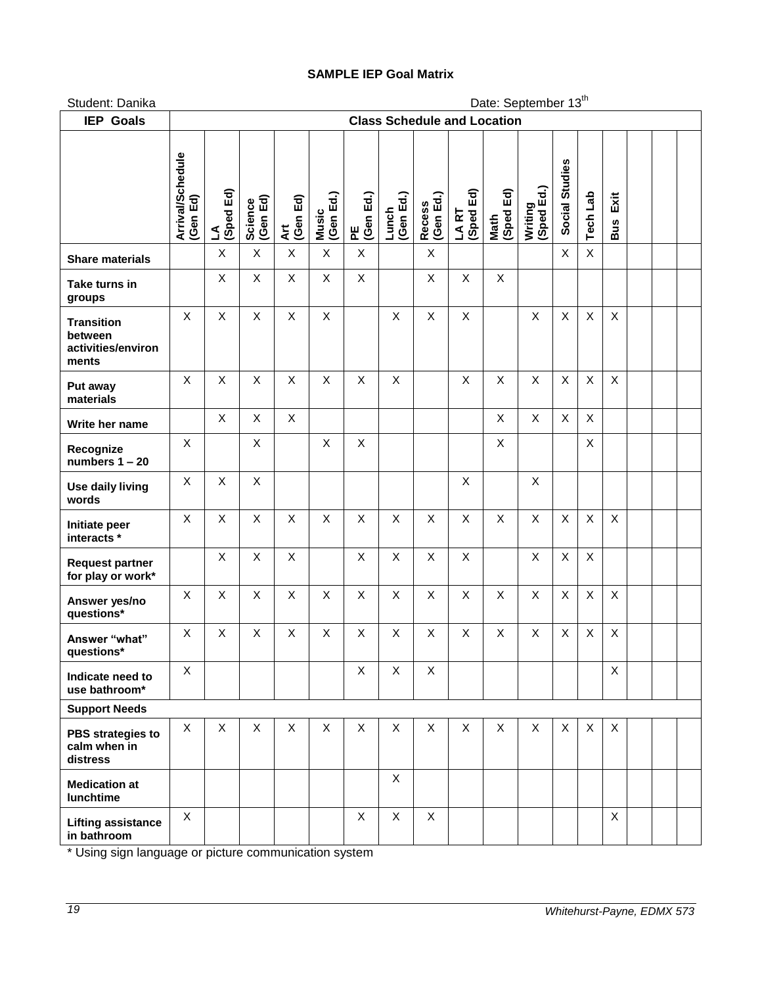## **SAMPLE IEP Goal Matrix**

<span id="page-18-0"></span>Student: Danika Date: September 13<sup>th</sup>

| <b>IEP Goals</b>                                            | <b>Class Schedule and Location</b> |                   |                     |                 |                    |                |                    |                            |                    |                   |                       |                           |                 |                    |  |  |
|-------------------------------------------------------------|------------------------------------|-------------------|---------------------|-----------------|--------------------|----------------|--------------------|----------------------------|--------------------|-------------------|-----------------------|---------------------------|-----------------|--------------------|--|--|
|                                                             | Arrival/Schedule<br>(Gen Ed)       | Ed)<br>(Sped<br>₹ | Science<br>(Gen Ed) | Art<br>(Gen Ed) | Music<br>(Gen Ed.) | (Gen Ed.)<br>뿐 | (Gen Ed.)<br>Lunch | (Gen Ed.)<br><b>Recess</b> | LA RT<br>(Sped Ed) | Math<br>(Sped Ed) | Writing<br>(Sped Ed.) | Social Studies            | <b>Tech Lab</b> | Exit<br><b>Bus</b> |  |  |
| <b>Share materials</b>                                      |                                    | X                 | X                   | $\mathsf X$     | $\sf X$            | X              |                    | X                          |                    |                   |                       | X                         | X               |                    |  |  |
| Take turns in<br>groups                                     |                                    | X                 | X                   | X               | X                  | X              |                    | X                          | X                  | X                 |                       |                           |                 |                    |  |  |
| <b>Transition</b><br>between<br>activities/environ<br>ments | X                                  | X                 | X                   | X               | X                  |                | X                  | X                          | X                  |                   | $\mathsf{X}$          | $\mathsf{X}$              | X               | X                  |  |  |
| Put away<br>materials                                       | X                                  | X                 | X                   | X               | X                  | X              | X                  |                            | X                  | X                 | X                     | X                         | X               | X                  |  |  |
| Write her name                                              |                                    | X                 | X                   | X               |                    |                |                    |                            |                    | X                 | X                     | X                         | X               |                    |  |  |
| Recognize<br>numbers $1 - 20$                               | X                                  |                   | X                   |                 | X                  | X              |                    |                            |                    | X                 |                       |                           | $\mathsf{X}$    |                    |  |  |
| Use daily living<br>words                                   | X                                  | X                 | X                   |                 |                    |                |                    |                            | X                  |                   | X                     |                           |                 |                    |  |  |
| Initiate peer<br>interacts *                                | X                                  | $\mathsf{X}$      | X                   | X               | X                  | X              | X                  | X                          | X                  | X                 | $\mathsf{X}$          | $\pmb{\times}$            | X               | $\mathsf{X}$       |  |  |
| <b>Request partner</b><br>for play or work*                 |                                    | X                 | X                   | X               |                    | X              | X                  | X                          | X                  |                   | X                     | $\mathsf X$               | X               |                    |  |  |
| Answer yes/no<br>questions*                                 | X                                  | X                 | X                   | X               | X                  | X              | X                  | X                          | X                  | X                 | X                     | $\boldsymbol{\mathsf{X}}$ | X               | $\mathsf{X}$       |  |  |
| Answer "what"<br>questions*                                 | X                                  | X                 | X                   | X               | X                  | X              | X                  | X                          | X                  | X                 | X                     | X                         | X               | X                  |  |  |
| Indicate need to<br>use bathroom*                           | $\mathsf X$                        |                   |                     |                 |                    | X              | X                  | Χ                          |                    |                   |                       |                           |                 | $\sf X$            |  |  |
| <b>Support Needs</b>                                        |                                    |                   |                     |                 |                    |                |                    |                            |                    |                   |                       |                           |                 |                    |  |  |
| PBS strategies to<br>calm when in<br>distress               | X                                  | X                 | X                   | X               | X                  | $\times$       | X                  | X                          | X                  | X                 | X                     | X                         | X               | X                  |  |  |
| <b>Medication at</b><br>lunchtime                           |                                    |                   |                     |                 |                    |                | X                  |                            |                    |                   |                       |                           |                 |                    |  |  |
| <b>Lifting assistance</b><br>in bathroom                    | X                                  |                   |                     |                 |                    | X              | $\mathsf{X}$       | X                          |                    |                   |                       |                           |                 | X                  |  |  |

\* Using sign language or picture communication system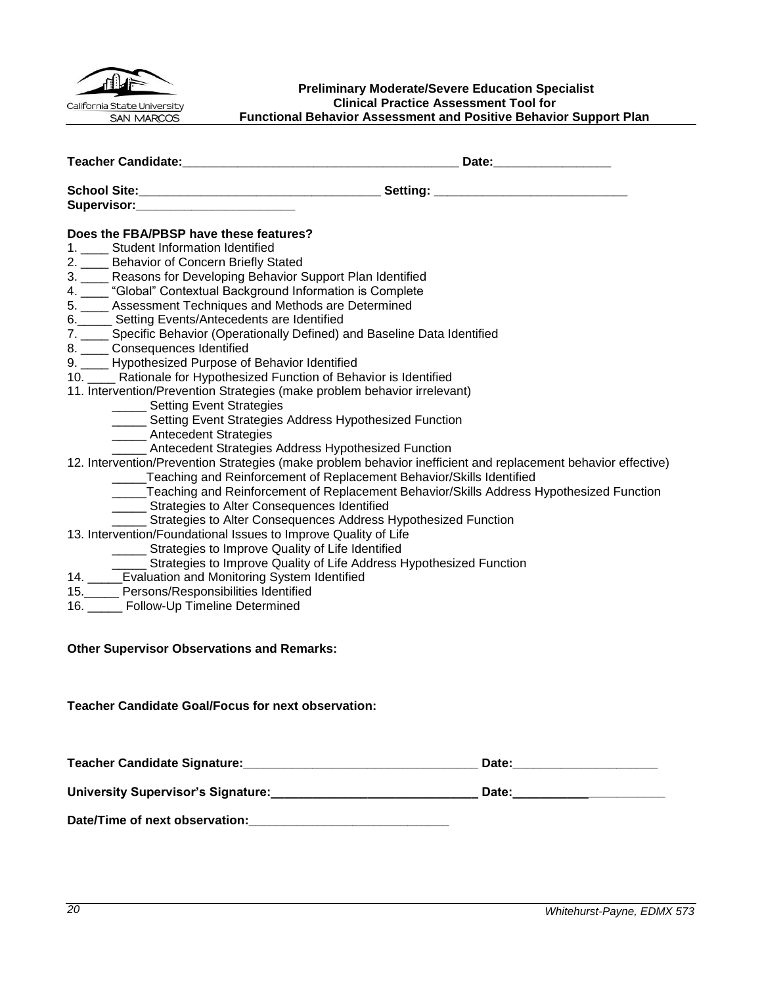

#### <span id="page-19-0"></span>**Preliminary Moderate/Severe Education Specialist Clinical Practice Assessment Tool for Functional Behavior Assessment and Positive Behavior Support Plan**

| Supervisor: Supervisor:                                                                                                                                                                                                                                                                                                                                    |                                                                                              |
|------------------------------------------------------------------------------------------------------------------------------------------------------------------------------------------------------------------------------------------------------------------------------------------------------------------------------------------------------------|----------------------------------------------------------------------------------------------|
| Does the FBA/PBSP have these features?<br>1. ____ Student Information Identified<br>2. __ Behavior of Concern Briefly Stated<br>3. ____ Reasons for Developing Behavior Support Plan Identified                                                                                                                                                            |                                                                                              |
| 4. ____ "Global" Contextual Background Information is Complete<br>5. ____ Assessment Techniques and Methods are Determined<br>6._____ Setting Events/Antecedents are Identified<br>7. ____ Specific Behavior (Operationally Defined) and Baseline Data Identified<br>8. Consequences Identified                                                            |                                                                                              |
| 9. ____ Hypothesized Purpose of Behavior Identified<br>10. ___ Rationale for Hypothesized Function of Behavior is Identified<br>11. Intervention/Prevention Strategies (make problem behavior irrelevant)<br>______ Setting Event Strategies<br>_____ Setting Event Strategies Address Hypothesized Function                                               |                                                                                              |
| ______ Antecedent Strategies<br><b>EXAMPLE 2018</b> Antecedent Strategies Address Hypothesized Function<br>12. Intervention/Prevention Strategies (make problem behavior inefficient and replacement behavior effective)<br>____Teaching and Reinforcement of Replacement Behavior/Skills Identified<br>______ Strategies to Alter Consequences Identified | _____Teaching and Reinforcement of Replacement Behavior/Skills Address Hypothesized Function |
| ____ Strategies to Alter Consequences Address Hypothesized Function<br>13. Intervention/Foundational Issues to Improve Quality of Life<br>______ Strategies to Improve Quality of Life Identified<br>______ Strategies to Improve Quality of Life Address Hypothesized Function                                                                            |                                                                                              |
| 14. _____Evaluation and Monitoring System Identified<br>15. Persons/Responsibilities Identified<br>16. _____ Follow-Up Timeline Determined                                                                                                                                                                                                                 |                                                                                              |
| <b>Other Supervisor Observations and Remarks:</b>                                                                                                                                                                                                                                                                                                          |                                                                                              |
| <b>Teacher Candidate Goal/Focus for next observation:</b>                                                                                                                                                                                                                                                                                                  |                                                                                              |

| <b>Teacher Candidate Signature:</b>       | Date: |  |
|-------------------------------------------|-------|--|
| <b>University Supervisor's Signature:</b> | Date: |  |
| Date/Time of next observation:            |       |  |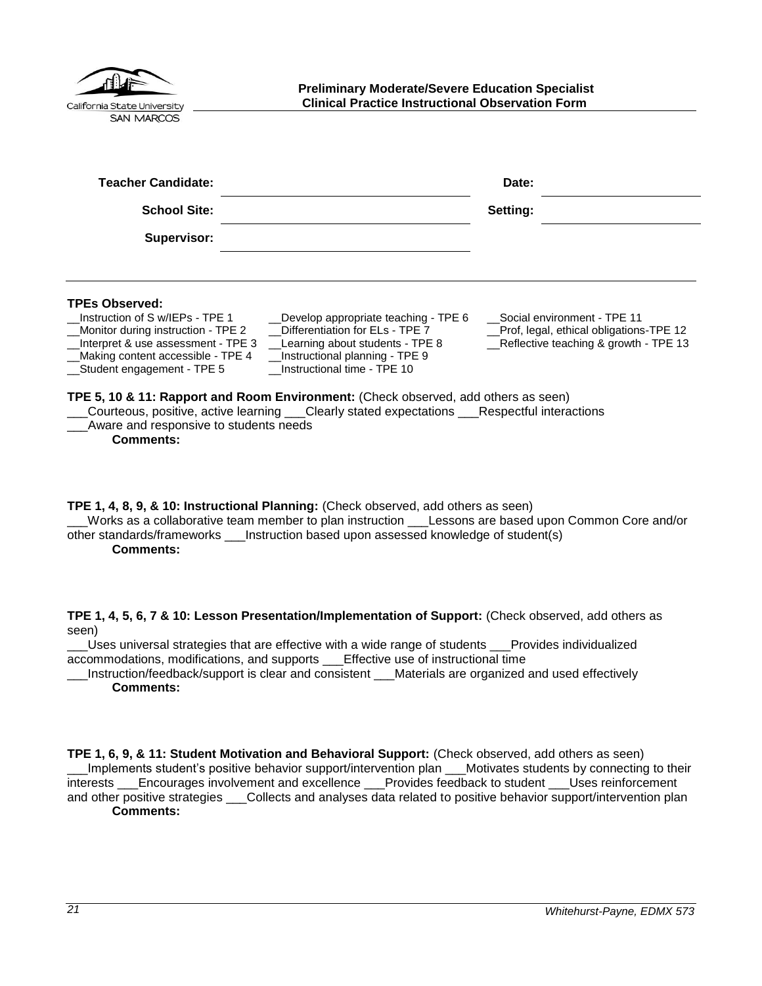<span id="page-20-0"></span>

| <b>Preliminary Moderate/Severe Education Specialist</b><br><b>Clinical Practice Instructional Observation Form</b><br>California State University<br><b>SAN MARCOS</b>                                                                                                                                                                                                                                                                                                                                                                                                                                                                       |                                                                                                                 |  |
|----------------------------------------------------------------------------------------------------------------------------------------------------------------------------------------------------------------------------------------------------------------------------------------------------------------------------------------------------------------------------------------------------------------------------------------------------------------------------------------------------------------------------------------------------------------------------------------------------------------------------------------------|-----------------------------------------------------------------------------------------------------------------|--|
| <b>Teacher Candidate:</b>                                                                                                                                                                                                                                                                                                                                                                                                                                                                                                                                                                                                                    | Date:                                                                                                           |  |
| <b>School Site:</b>                                                                                                                                                                                                                                                                                                                                                                                                                                                                                                                                                                                                                          | Setting:                                                                                                        |  |
| <b>Supervisor:</b>                                                                                                                                                                                                                                                                                                                                                                                                                                                                                                                                                                                                                           |                                                                                                                 |  |
| <b>TPEs Observed:</b><br>Instruction of S w/IEPs - TPE 1<br>Develop appropriate teaching - TPE 6<br>Differentiation for ELs - TPE 7<br>Monitor during instruction - TPE 2<br>Interpret & use assessment - TPE 3<br>Learning about students - TPE 8<br>Making content accessible - TPE 4<br>Instructional planning - TPE 9<br>Instructional time - TPE 10<br>Student engagement - TPE 5<br>TPE 5, 10 & 11: Rapport and Room Environment: (Check observed, add others as seen)<br>Courteous, positive, active learning ___Clearly stated expectations ___Respectful interactions<br>Aware and responsive to students needs<br><b>Comments:</b> | Social environment - TPE 11<br>Prof, legal, ethical obligations-TPE 12<br>Reflective teaching & growth - TPE 13 |  |

**TPE 1, 4, 8, 9, & 10: Instructional Planning:** (Check observed, add others as seen) \_\_\_Works as a collaborative team member to plan instruction \_\_\_Lessons are based upon Common Core and/or other standards/frameworks \_\_\_Instruction based upon assessed knowledge of student(s) **Comments:**

**TPE 1, 4, 5, 6, 7 & 10: Lesson Presentation/Implementation of Support:** (Check observed, add others as seen)

\_\_\_Uses universal strategies that are effective with a wide range of students \_\_\_Provides individualized accommodations, modifications, and supports \_\_\_Effective use of instructional time

Instruction/feedback/support is clear and consistent Materials are organized and used effectively **Comments:**

**TPE 1, 6, 9, & 11: Student Motivation and Behavioral Support:** (Check observed, add others as seen) \_\_\_Implements student's positive behavior support/intervention plan \_\_\_Motivates students by connecting to their interests \_\_\_Encourages involvement and excellence \_\_\_Provides feedback to student \_\_\_Uses reinforcement and other positive strategies \_\_\_Collects and analyses data related to positive behavior support/intervention plan **Comments:**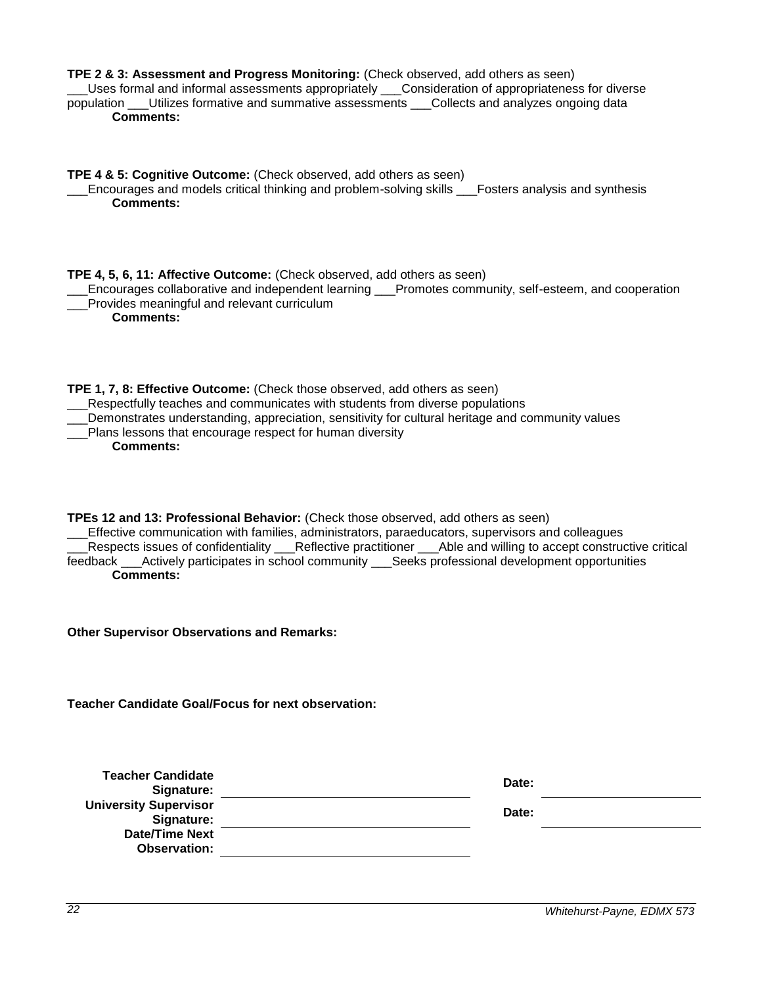| TPE 2 & 3: Assessment and Progress Monitoring: (Check observed, add others as seen)<br>Uses formal and informal assessments appropriately ___Consideration of appropriateness for diverse<br>population ___Utilizes formative and summative assessments ___Collects and analyzes ongoing data<br><b>Comments:</b>                                                                                                                     |       |  |
|---------------------------------------------------------------------------------------------------------------------------------------------------------------------------------------------------------------------------------------------------------------------------------------------------------------------------------------------------------------------------------------------------------------------------------------|-------|--|
| TPE 4 & 5: Cognitive Outcome: (Check observed, add others as seen)<br>Encourages and models critical thinking and problem-solving skills ___Fosters analysis and synthesis<br><b>Comments:</b>                                                                                                                                                                                                                                        |       |  |
| TPE 4, 5, 6, 11: Affective Outcome: (Check observed, add others as seen)<br>Encourages collaborative and independent learning ___Promotes community, self-esteem, and cooperation<br>Provides meaningful and relevant curriculum<br><b>Comments:</b>                                                                                                                                                                                  |       |  |
| TPE 1, 7, 8: Effective Outcome: (Check those observed, add others as seen)<br>Respectfully teaches and communicates with students from diverse populations<br>Demonstrates understanding, appreciation, sensitivity for cultural heritage and community values<br>Plans lessons that encourage respect for human diversity<br><b>Comments:</b>                                                                                        |       |  |
| TPEs 12 and 13: Professional Behavior: (Check those observed, add others as seen)<br>Effective communication with families, administrators, paraeducators, supervisors and colleagues<br>Respects issues of confidentiality __Reflective practitioner __Able and willing to accept constructive critical<br>feedback ___Actively participates in school community ___Seeks professional development opportunities<br><b>Comments:</b> |       |  |
| <b>Other Supervisor Observations and Remarks:</b>                                                                                                                                                                                                                                                                                                                                                                                     |       |  |
| <b>Teacher Candidate Goal/Focus for next observation:</b>                                                                                                                                                                                                                                                                                                                                                                             |       |  |
| <b>Teacher Candidate</b><br>Signature:                                                                                                                                                                                                                                                                                                                                                                                                | Date: |  |
| <b>University Supervisor</b><br>Signature:<br><b>Date/Time Next</b><br><b>Observation:</b>                                                                                                                                                                                                                                                                                                                                            | Date: |  |
|                                                                                                                                                                                                                                                                                                                                                                                                                                       |       |  |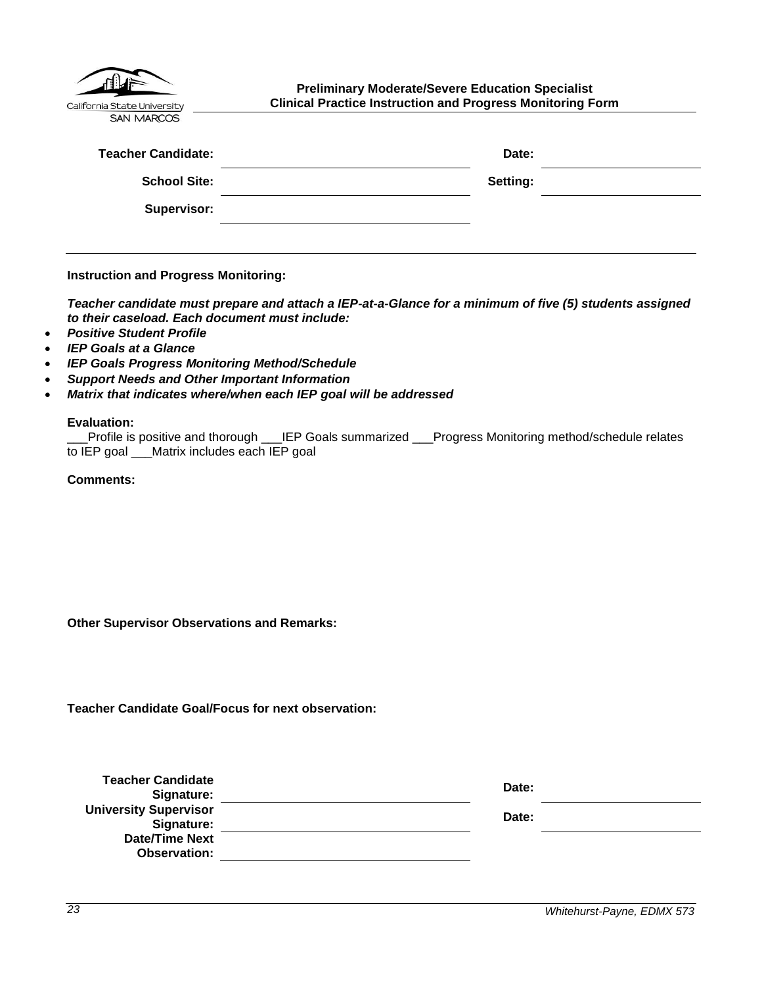| California State University |
|-----------------------------|
| <b>SAN MARCOS</b>           |

<span id="page-22-0"></span>**Preliminary Moderate/Severe Education Specialist Clinical Practice Instruction and Progress Monitoring Form**

| <b>Teacher Candidate:</b> | Date:    |  |
|---------------------------|----------|--|
| <b>School Site:</b>       | Setting: |  |
| <b>Supervisor:</b>        |          |  |

**Instruction and Progress Monitoring:**

*Teacher candidate must prepare and attach a IEP-at-a-Glance for a minimum of five (5) students assigned to their caseload. Each document must include:*

- *Positive Student Profile*
- *IEP Goals at a Glance*
- *IEP Goals Progress Monitoring Method/Schedule*
- *Support Needs and Other Important Information*
- *Matrix that indicates where/when each IEP goal will be addressed*

#### **Evaluation:**

|                                              | Profile is positive and thorough ___IEP Goals summarized ___Progress Monitoring method/schedule relates_______ |
|----------------------------------------------|----------------------------------------------------------------------------------------------------------------|
| to IEP goal ___Matrix includes each IEP goal |                                                                                                                |

**Comments:**

**Other Supervisor Observations and Remarks:**

**Teacher Candidate Goal/Focus for next observation:**

| <b>Teacher Candidate</b><br>Signature:     | Date: |  |
|--------------------------------------------|-------|--|
| <b>University Supervisor</b><br>Signature: | Date: |  |
| <b>Date/Time Next</b><br>Observation:      |       |  |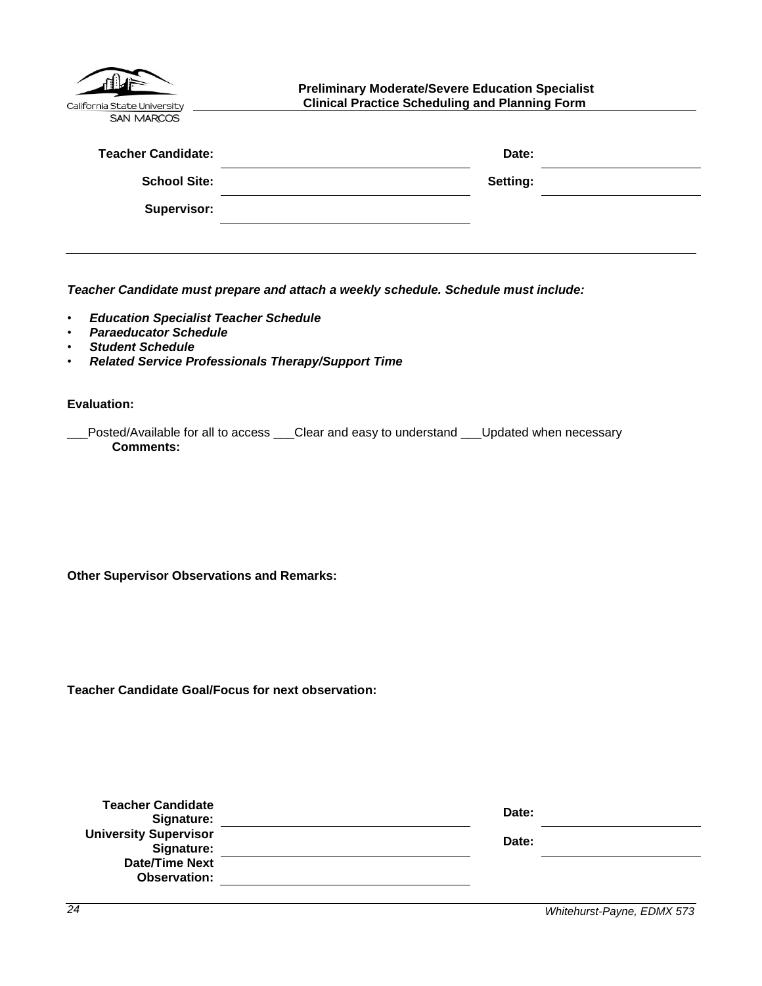<span id="page-23-0"></span>

| California State University<br><b>SAN MARCOS</b> | <b>Preliminary Moderate/Severe Education Specialist</b><br><b>Clinical Practice Scheduling and Planning Form</b> |  |
|--------------------------------------------------|------------------------------------------------------------------------------------------------------------------|--|
| <b>Teacher Candidate:</b>                        | Date:                                                                                                            |  |
| <b>School Site:</b>                              | Setting:                                                                                                         |  |
| Supervisor:                                      |                                                                                                                  |  |
|                                                  |                                                                                                                  |  |

*Teacher Candidate must prepare and attach a weekly schedule. Schedule must include:*

- *Education Specialist Teacher Schedule*
- *Paraeducator Schedule*
- *Student Schedule*
- *Related Service Professionals Therapy/Support Time*

**Evaluation:**

| Posted/Available for all to access | Clear and easy to understand | I __Updated when necessary |
|------------------------------------|------------------------------|----------------------------|
| <b>Comments:</b>                   |                              |                            |

**Other Supervisor Observations and Remarks:**

**Teacher Candidate Goal/Focus for next observation:**

| <b>Teacher Candidate</b><br>Signature:       | Date: |
|----------------------------------------------|-------|
| <b>University Supervisor</b><br>Signature:   | Date: |
| <b>Date/Time Next</b><br><b>Observation:</b> |       |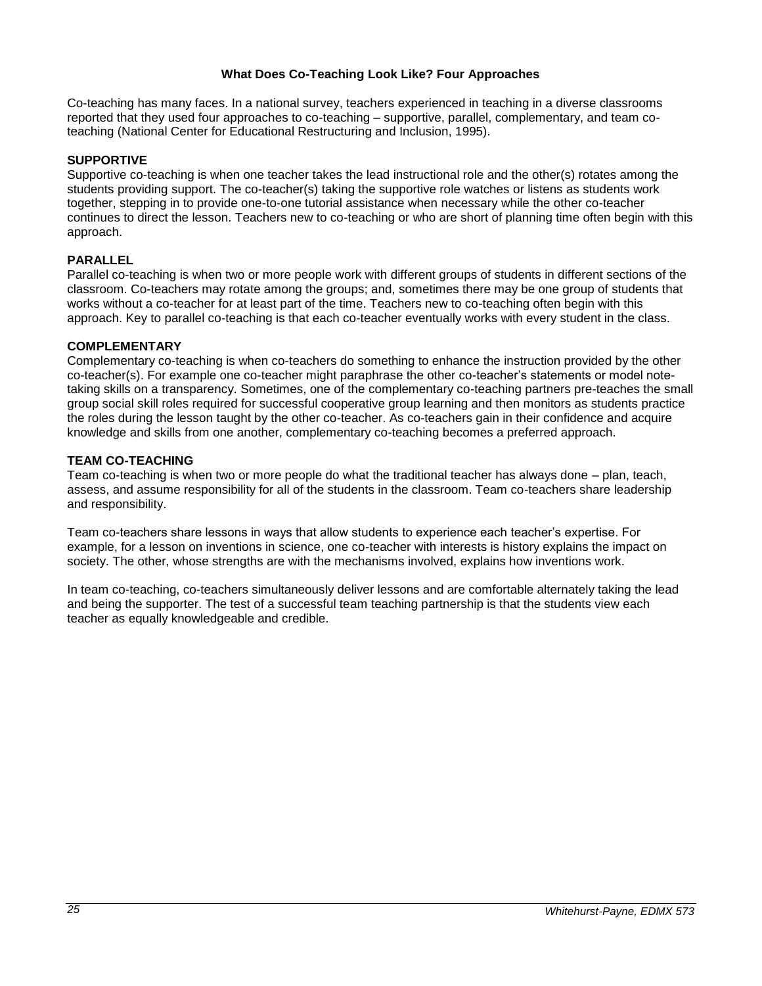#### **What Does Co-Teaching Look Like? Four Approaches**

<span id="page-24-0"></span>Co-teaching has many faces. In a national survey, teachers experienced in teaching in a diverse classrooms reported that they used four approaches to co-teaching – supportive, parallel, complementary, and team coteaching (National Center for Educational Restructuring and Inclusion, 1995).

## **SUPPORTIVE**

Supportive co-teaching is when one teacher takes the lead instructional role and the other(s) rotates among the students providing support. The co-teacher(s) taking the supportive role watches or listens as students work together, stepping in to provide one-to-one tutorial assistance when necessary while the other co-teacher continues to direct the lesson. Teachers new to co-teaching or who are short of planning time often begin with this approach.

## **PARALLEL**

Parallel co-teaching is when two or more people work with different groups of students in different sections of the classroom. Co-teachers may rotate among the groups; and, sometimes there may be one group of students that works without a co-teacher for at least part of the time. Teachers new to co-teaching often begin with this approach. Key to parallel co-teaching is that each co-teacher eventually works with every student in the class.

## **COMPLEMENTARY**

Complementary co-teaching is when co-teachers do something to enhance the instruction provided by the other co-teacher(s). For example one co-teacher might paraphrase the other co-teacher's statements or model notetaking skills on a transparency. Sometimes, one of the complementary co-teaching partners pre-teaches the small group social skill roles required for successful cooperative group learning and then monitors as students practice the roles during the lesson taught by the other co-teacher. As co-teachers gain in their confidence and acquire knowledge and skills from one another, complementary co-teaching becomes a preferred approach.

## **TEAM CO-TEACHING**

Team co-teaching is when two or more people do what the traditional teacher has always done – plan, teach, assess, and assume responsibility for all of the students in the classroom. Team co-teachers share leadership and responsibility.

Team co-teachers share lessons in ways that allow students to experience each teacher's expertise. For example, for a lesson on inventions in science, one co-teacher with interests is history explains the impact on society. The other, whose strengths are with the mechanisms involved, explains how inventions work.

In team co-teaching, co-teachers simultaneously deliver lessons and are comfortable alternately taking the lead and being the supporter. The test of a successful team teaching partnership is that the students view each teacher as equally knowledgeable and credible.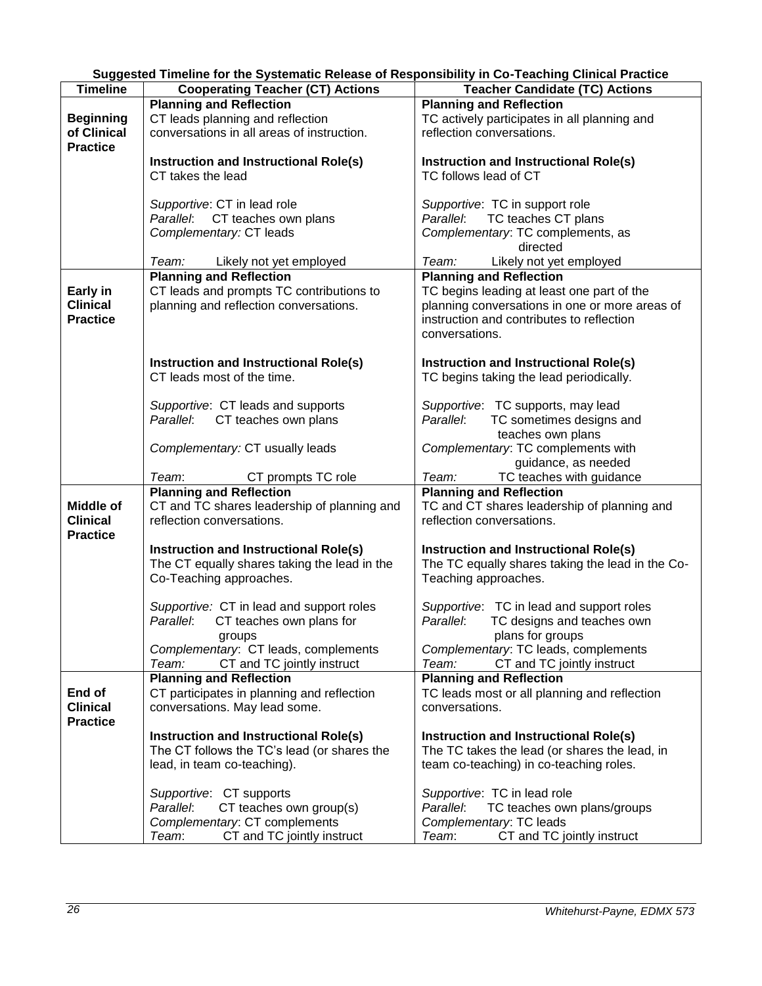| Suggested Timeline for the Systematic Release of Responsibility in Co-Teaching Clinical Practice |  |
|--------------------------------------------------------------------------------------------------|--|
|                                                                                                  |  |

<span id="page-25-0"></span>

| <b>Timeline</b>  | <b>Cooperating Teacher (CT) Actions</b>      | <b>Teacher Candidate (TC) Actions</b>            |
|------------------|----------------------------------------------|--------------------------------------------------|
|                  | <b>Planning and Reflection</b>               | <b>Planning and Reflection</b>                   |
| <b>Beginning</b> | CT leads planning and reflection             | TC actively participates in all planning and     |
| of Clinical      | conversations in all areas of instruction.   | reflection conversations.                        |
| <b>Practice</b>  |                                              |                                                  |
|                  | Instruction and Instructional Role(s)        | Instruction and Instructional Role(s)            |
|                  | CT takes the lead                            | TC follows lead of CT                            |
|                  |                                              |                                                  |
|                  |                                              |                                                  |
|                  | Supportive: CT in lead role                  | Supportive: TC in support role                   |
|                  | Parallel: CT teaches own plans               | Parallel: TC teaches CT plans                    |
|                  | Complementary: CT leads                      | Complementary: TC complements, as                |
|                  |                                              | directed                                         |
|                  | Team: Likely not yet employed                | Team: Likely not yet employed                    |
|                  | <b>Planning and Reflection</b>               | <b>Planning and Reflection</b>                   |
| Early in         | CT leads and prompts TC contributions to     | TC begins leading at least one part of the       |
| <b>Clinical</b>  | planning and reflection conversations.       | planning conversations in one or more areas of   |
| <b>Practice</b>  |                                              | instruction and contributes to reflection        |
|                  |                                              | conversations.                                   |
|                  | <b>Instruction and Instructional Role(s)</b> | <b>Instruction and Instructional Role(s)</b>     |
|                  | CT leads most of the time.                   | TC begins taking the lead periodically.          |
|                  |                                              |                                                  |
|                  | Supportive: CT leads and supports            | Supportive: TC supports, may lead                |
|                  | Parallel: CT teaches own plans               | Parallel: TC sometimes designs and               |
|                  |                                              | teaches own plans                                |
|                  | Complementary: CT usually leads              | Complementary: TC complements with               |
|                  |                                              | guidance, as needed                              |
|                  | Team:<br>CT prompts TC role                  | Team:<br>TC teaches with guidance                |
|                  | <b>Planning and Reflection</b>               | <b>Planning and Reflection</b>                   |
| Middle of        | CT and TC shares leadership of planning and  | TC and CT shares leadership of planning and      |
| <b>Clinical</b>  | reflection conversations.                    | reflection conversations.                        |
| <b>Practice</b>  |                                              |                                                  |
|                  | Instruction and Instructional Role(s)        | <b>Instruction and Instructional Role(s)</b>     |
|                  | The CT equally shares taking the lead in the | The TC equally shares taking the lead in the Co- |
|                  | Co-Teaching approaches.                      | Teaching approaches.                             |
|                  |                                              |                                                  |
|                  | Supportive: CT in lead and support roles     | Supportive: TC in lead and support roles         |
|                  | CT teaches own plans for<br>Parallel:        | TC designs and teaches own<br>Parallel:          |
|                  | groups                                       | plans for groups                                 |
|                  | Complementary: CT leads, complements         | Complementary: TC leads, complements             |
|                  | CT and TC jointly instruct<br>Team:          | CT and TC jointly instruct<br>Team:              |
|                  | <b>Planning and Reflection</b>               | <b>Planning and Reflection</b>                   |
| End of           | CT participates in planning and reflection   | TC leads most or all planning and reflection     |
| <b>Clinical</b>  | conversations. May lead some.                | conversations.                                   |
| <b>Practice</b>  |                                              |                                                  |
|                  | Instruction and Instructional Role(s)        | Instruction and Instructional Role(s)            |
|                  | The CT follows the TC's lead (or shares the  | The TC takes the lead (or shares the lead, in    |
|                  | lead, in team co-teaching).                  | team co-teaching) in co-teaching roles.          |
|                  |                                              |                                                  |
|                  | Supportive: CT supports                      | Supportive: TC in lead role                      |
|                  | Parallel:<br>CT teaches own group(s)         | Parallel:<br>TC teaches own plans/groups         |
|                  | Complementary: CT complements                | Complementary: TC leads                          |
|                  | Team:<br>CT and TC jointly instruct          | Team:<br>CT and TC jointly instruct              |